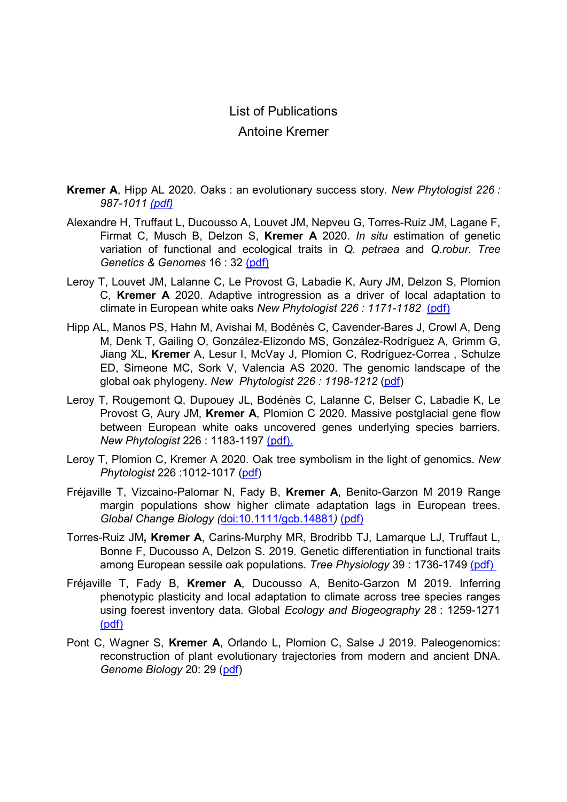## List of Publications Antoine Kremer

- Kremer A, Hipp AL 2020. Oaks : an evolutionary success story. New Phytologist 226 : 987-1011 (pdf)
- Alexandre H, Truffaut L, Ducousso A, Louvet JM, Nepveu G, Torres-Ruiz JM, Lagane F, Firmat C, Musch B, Delzon S, Kremer A 2020. In situ estimation of genetic variation of functional and ecological traits in Q. petraea and Q.robur. Tree Genetics & Genomes 16 : 32 (pdf)
- Leroy T, Louvet JM, Lalanne C, Le Provost G, Labadie K, Aury JM, Delzon S, Plomion C, Kremer A 2020. Adaptive introgression as a driver of local adaptation to climate in European white oaks New Phytologist 226 : 1171-1182 (pdf)
- Hipp AL, Manos PS, Hahn M, Avishai M, Bodénès C, Cavender-Bares J, Crowl A, Deng M, Denk T, Gailing O, González-Elizondo MS, González-Rodríguez A, Grimm G, Jiang XL, Kremer A, Lesur I, McVay J, Plomion C, Rodríguez-Correa, Schulze ED, Simeone MC, Sork V, Valencia AS 2020. The genomic landscape of the global oak phylogeny. New Phytologist 226 : 1198-1212 (pdf)
- Leroy T, Rougemont Q, Dupouey JL, Bodénès C, Lalanne C, Belser C, Labadie K, Le Provost G, Aury JM, Kremer A, Plomion C 2020. Massive postglacial gene flow between European white oaks uncovered genes underlying species barriers. New Phytologist 226 : 1183-1197 (pdf).
- Leroy T, Plomion C, Kremer A 2020. Oak tree symbolism in the light of genomics. New Phytologist 226 :1012-1017 (pdf)
- Fréjaville T, Vizcaino-Palomar N, Fady B, Kremer A, Benito-Garzon M 2019 Range margin populations show higher climate adaptation lags in European trees. Global Change Biology (doi:10.1111/gcb.14881) (pdf)
- Torres-Ruiz JM, Kremer A, Carins-Murphy MR, Brodribb TJ, Lamarque LJ, Truffaut L, Bonne F, Ducousso A, Delzon S. 2019. Genetic differentiation in functional traits among European sessile oak populations. Tree Physiology 39 : 1736-1749 (pdf)
- Fréjaville T, Fady B, Kremer A, Ducousso A, Benito-Garzon M 2019. Inferring phenotypic plasticity and local adaptation to climate across tree species ranges using foerest inventory data. Global Ecology and Biogeography 28 : 1259-1271 (pdf)
- Pont C, Wagner S, Kremer A, Orlando L, Plomion C, Salse J 2019. Paleogenomics: reconstruction of plant evolutionary trajectories from modern and ancient DNA. Genome Biology 20: 29 (pdf)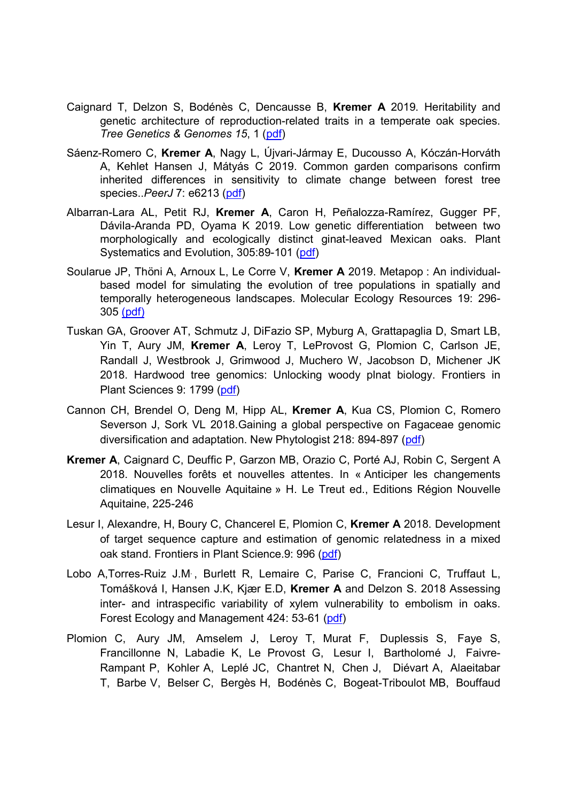- Caignard T, Delzon S, Bodénès C, Dencausse B, Kremer A 2019. Heritability and genetic architecture of reproduction-related traits in a temperate oak species. Tree Genetics & Genomes 15, 1 (pdf)
- Sáenz-Romero C, Kremer A, Nagy L, Újvari-Jármay E, Ducousso A, Kóczán-Horváth A, Kehlet Hansen J, Mátyás C 2019. Common garden comparisons confirm inherited differences in sensitivity to climate change between forest tree species..*PeerJ* 7: e6213 (pdf)
- Albarran-Lara AL, Petit RJ, Kremer A, Caron H, Peñalozza-Ramírez, Gugger PF, Dávila-Aranda PD, Oyama K 2019. Low genetic differentiation between two morphologically and ecologically distinct ginat-leaved Mexican oaks. Plant Systematics and Evolution, 305:89-101 (pdf)
- Soularue JP, Thöni A, Arnoux L, Le Corre V, Kremer A 2019. Metapop : An individualbased model for simulating the evolution of tree populations in spatially and temporally heterogeneous landscapes. Molecular Ecology Resources 19: 296- 305 (pdf)
- Tuskan GA, Groover AT, Schmutz J, DiFazio SP, Myburg A, Grattapaglia D, Smart LB, Yin T, Aury JM, Kremer A, Leroy T, LeProvost G, Plomion C, Carlson JE, Randall J, Westbrook J, Grimwood J, Muchero W, Jacobson D, Michener JK 2018. Hardwood tree genomics: Unlocking woody plnat biology. Frontiers in Plant Sciences 9: 1799 (pdf)
- Cannon CH, Brendel O, Deng M, Hipp AL, Kremer A, Kua CS, Plomion C, Romero Severson J, Sork VL 2018.Gaining a global perspective on Fagaceae genomic diversification and adaptation. New Phytologist 218: 894-897 (pdf)
- Kremer A, Caignard C, Deuffic P, Garzon MB, Orazio C, Porté AJ, Robin C, Sergent A 2018. Nouvelles forêts et nouvelles attentes. In « Anticiper les changements climatiques en Nouvelle Aquitaine » H. Le Treut ed., Editions Région Nouvelle Aquitaine, 225-246
- Lesur I, Alexandre, H, Boury C, Chancerel E, Plomion C, Kremer A 2018. Development of target sequence capture and estimation of genomic relatedness in a mixed oak stand. Frontiers in Plant Science.9: 996 (pdf)
- Lobo A,Torres-Ruiz J.M. , Burlett R, Lemaire C, Parise C, Francioni C, Truffaut L, Tomášková I, Hansen J.K, Kjær E.D, Kremer A and Delzon S. 2018 Assessing inter- and intraspecific variability of xylem vulnerability to embolism in oaks. Forest Ecology and Management 424: 53-61 (pdf)
- Plomion C, Aury JM, Amselem J, Leroy T, Murat F, Duplessis S, Faye S, Francillonne N, Labadie K, Le Provost G, Lesur I, Bartholomé J, Faivre-Rampant P, Kohler A, Leplé JC, Chantret N, Chen J, Diévart A, Alaeitabar T, Barbe V, Belser C, Bergès H, Bodénès C, Bogeat-Triboulot MB, Bouffaud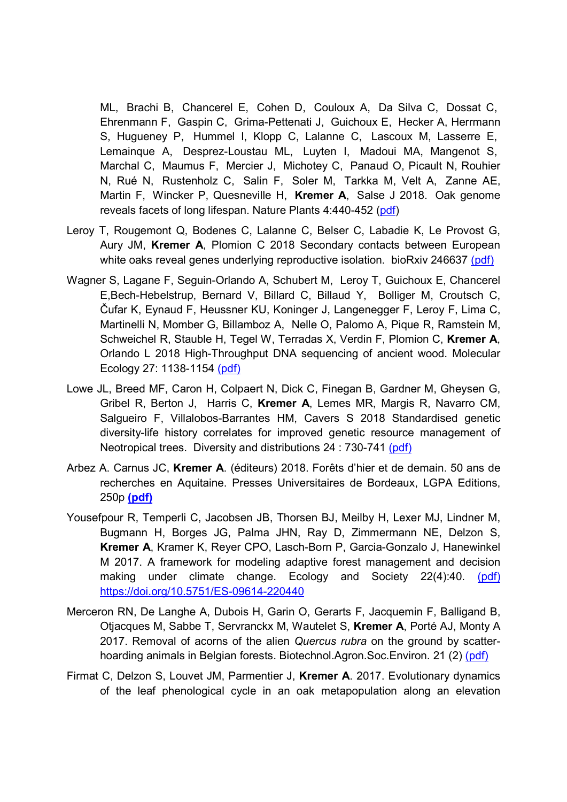ML, Brachi B, Chancerel E, Cohen D, Couloux A, Da Silva C, Dossat C, Ehrenmann F, Gaspin C, Grima-Pettenati J, Guichoux E, Hecker A, Herrmann S, Hugueney P, Hummel I, Klopp C, Lalanne C, Lascoux M, Lasserre E, Lemainque A, Desprez-Loustau ML, Luyten I, Madoui MA, Mangenot S, Marchal C, Maumus F, Mercier J, Michotey C, Panaud O, Picault N, Rouhier N, Rué N, Rustenholz C, Salin F, Soler M, Tarkka M, Velt A, Zanne AE, Martin F, Wincker P, Quesneville H, Kremer A, Salse J 2018. Oak genome reveals facets of long lifespan. Nature Plants 4:440-452 (pdf)

- Leroy T, Rougemont Q, Bodenes C, Lalanne C, Belser C, Labadie K, Le Provost G, Aury JM, Kremer A, Plomion C 2018 Secondary contacts between European white oaks reveal genes underlying reproductive isolation. bioRxiv 246637 (pdf)
- Wagner S, Lagane F, Seguin-Orlando A, Schubert M, Leroy T, Guichoux E, Chancerel E,Bech-Hebelstrup, Bernard V, Billard C, Billaud Y, Bolliger M, Croutsch C, Čufar K, Eynaud F, Heussner KU, Koninger J, Langenegger F, Leroy F, Lima C, Martinelli N, Momber G, Billamboz A, Nelle O, Palomo A, Pique R, Ramstein M, Schweichel R, Stauble H, Tegel W, Terradas X, Verdin F, Plomion C, Kremer A, Orlando L 2018 High-Throughput DNA sequencing of ancient wood. Molecular Ecology 27: 1138-1154 (pdf)
- Lowe JL, Breed MF, Caron H, Colpaert N, Dick C, Finegan B, Gardner M, Gheysen G, Gribel R, Berton J, Harris C, Kremer A, Lemes MR, Margis R, Navarro CM, Salgueiro F, Villalobos-Barrantes HM, Cavers S 2018 Standardised genetic diversity-life history correlates for improved genetic resource management of Neotropical trees. Diversity and distributions 24 : 730-741 (pdf)
- Arbez A. Carnus JC, Kremer A. (éditeurs) 2018. Forêts d'hier et de demain. 50 ans de recherches en Aquitaine. Presses Universitaires de Bordeaux, LGPA Editions, 250p (pdf)
- Yousefpour R, Temperli C, Jacobsen JB, Thorsen BJ, Meilby H, Lexer MJ, Lindner M, Bugmann H, Borges JG, Palma JHN, Ray D, Zimmermann NE, Delzon S, Kremer A, Kramer K, Reyer CPO, Lasch-Born P, Garcia-Gonzalo J, Hanewinkel M 2017. A framework for modeling adaptive forest management and decision making under climate change. Ecology and Society 22(4):40. (pdf) https://doi.org/10.5751/ES-09614-220440
- Merceron RN, De Langhe A, Dubois H, Garin O, Gerarts F, Jacquemin F, Balligand B, Otjacques M, Sabbe T, Servranckx M, Wautelet S, Kremer A, Porté AJ, Monty A 2017. Removal of acorns of the alien Quercus rubra on the ground by scatterhoarding animals in Belgian forests. Biotechnol.Agron.Soc.Environ. 21 (2) (pdf)
- Firmat C, Delzon S, Louvet JM, Parmentier J, Kremer A. 2017. Evolutionary dynamics of the leaf phenological cycle in an oak metapopulation along an elevation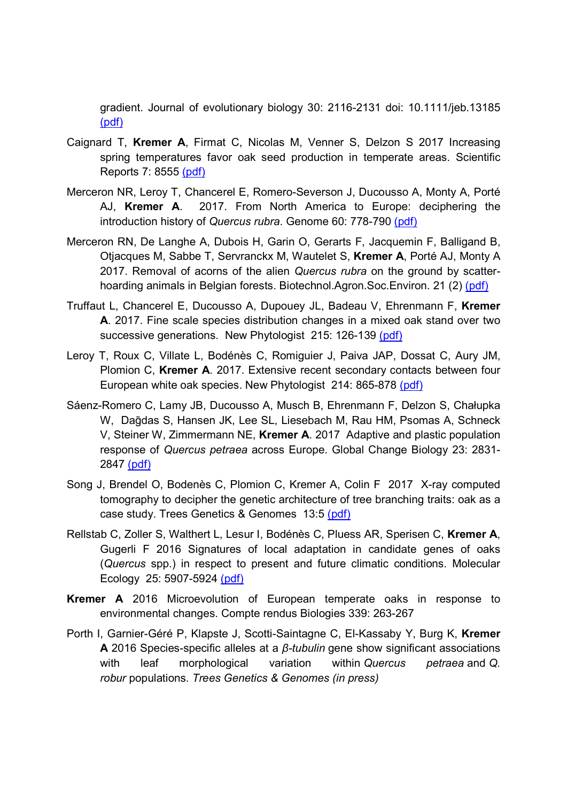gradient. Journal of evolutionary biology 30: 2116-2131 doi: 10.1111/jeb.13185 (pdf)

- Caignard T, Kremer A, Firmat C, Nicolas M, Venner S, Delzon S 2017 Increasing spring temperatures favor oak seed production in temperate areas. Scientific Reports 7: 8555 (pdf)
- Merceron NR, Leroy T, Chancerel E, Romero-Severson J, Ducousso A, Monty A, Porté AJ, Kremer A. 2017. From North America to Europe: deciphering the introduction history of Quercus rubra. Genome 60: 778-790 (pdf)
- Merceron RN, De Langhe A, Dubois H, Garin O, Gerarts F, Jacquemin F, Balligand B, Otjacques M, Sabbe T, Servranckx M, Wautelet S, Kremer A, Porté AJ, Monty A 2017. Removal of acorns of the alien Quercus rubra on the ground by scatterhoarding animals in Belgian forests. Biotechnol.Agron.Soc.Environ. 21 (2) (pdf)
- Truffaut L, Chancerel E, Ducousso A, Dupouey JL, Badeau V, Ehrenmann F, Kremer A. 2017. Fine scale species distribution changes in a mixed oak stand over two successive generations. New Phytologist 215: 126-139 (pdf)
- Leroy T, Roux C, Villate L, Bodénès C, Romiguier J, Paiva JAP, Dossat C, Aury JM, Plomion C, Kremer A. 2017. Extensive recent secondary contacts between four European white oak species. New Phytologist 214: 865-878 (pdf)
- Sáenz-Romero C, Lamy JB, Ducousso A, Musch B, Ehrenmann F, Delzon S, Chałupka W, Daḡdas S, Hansen JK, Lee SL, Liesebach M, Rau HM, Psomas A, Schneck V, Steiner W, Zimmermann NE, Kremer A. 2017 Adaptive and plastic population response of Quercus petraea across Europe. Global Change Biology 23: 2831- 2847 (pdf)
- Song J, Brendel O, Bodenès C, Plomion C, Kremer A, Colin F 2017 X-ray computed tomography to decipher the genetic architecture of tree branching traits: oak as a case study. Trees Genetics & Genomes 13:5 (pdf)
- Rellstab C, Zoller S, Walthert L, Lesur I, Bodénès C, Pluess AR, Sperisen C, Kremer A, Gugerli F 2016 Signatures of local adaptation in candidate genes of oaks (Quercus spp.) in respect to present and future climatic conditions. Molecular Ecology 25: 5907-5924 (pdf)
- Kremer A 2016 Microevolution of European temperate oaks in response to environmental changes. Compte rendus Biologies 339: 263-267
- Porth I, Garnier-Géré P, Klapste J, Scotti-Saintagne C, El-Kassaby Y, Burg K, Kremer A 2016 Species-specific alleles at a  $β$ -tubulin gene show significant associations with leaf morphological variation within Quercus petraea and Q. robur populations. Trees Genetics & Genomes (in press)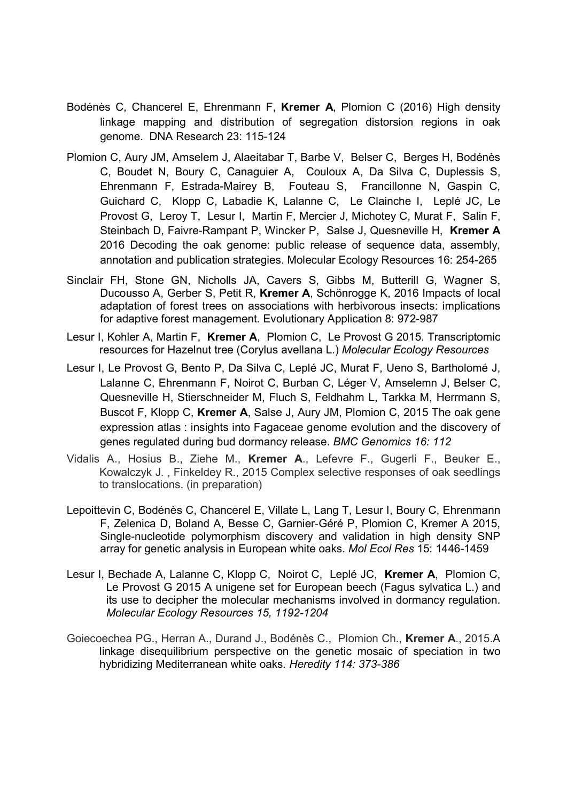- Bodénès C, Chancerel E, Ehrenmann F, Kremer A, Plomion C (2016) High density linkage mapping and distribution of segregation distorsion regions in oak genome. DNA Research 23: 115-124
- Plomion C, Aury JM, Amselem J, Alaeitabar T, Barbe V, Belser C, Berges H, Bodénès C, Boudet N, Boury C, Canaguier A, Couloux A, Da Silva C, Duplessis S, Ehrenmann F, Estrada-Mairey B, Fouteau S, Francillonne N, Gaspin C, Guichard C, Klopp C, Labadie K, Lalanne C, Le Clainche I, Leplé JC, Le Provost G, Leroy T, Lesur I, Martin F, Mercier J, Michotey C, Murat F, Salin F, Steinbach D, Faivre-Rampant P, Wincker P, Salse J, Quesneville H, Kremer A 2016 Decoding the oak genome: public release of sequence data, assembly, annotation and publication strategies. Molecular Ecology Resources 16: 254-265
- Sinclair FH, Stone GN, Nicholls JA, Cavers S, Gibbs M, Butterill G, Wagner S, Ducousso A, Gerber S, Petit R, Kremer A, Schönrogge K, 2016 Impacts of local adaptation of forest trees on associations with herbivorous insects: implications for adaptive forest management. Evolutionary Application 8: 972-987
- Lesur I, Kohler A, Martin F. Kremer A, Plomion C. Le Provost G 2015. Transcriptomic resources for Hazelnut tree (Corylus avellana L.) Molecular Ecology Resources
- Lesur I, Le Provost G, Bento P, Da Silva C, Leplé JC, Murat F, Ueno S, Bartholomé J, Lalanne C, Ehrenmann F, Noirot C, Burban C, Léger V, Amselemn J, Belser C, Quesneville H, Stierschneider M, Fluch S, Feldhahm L, Tarkka M, Herrmann S, Buscot F, Klopp C, Kremer A, Salse J, Aury JM, Plomion C, 2015 The oak gene expression atlas : insights into Fagaceae genome evolution and the discovery of genes regulated during bud dormancy release. BMC Genomics 16: 112
- Vidalis A., Hosius B., Ziehe M., Kremer A., Lefevre F., Gugerli F., Beuker E., Kowalczyk J. , Finkeldey R., 2015 Complex selective responses of oak seedlings to translocations. (in preparation)
- Lepoittevin C, Bodénès C, Chancerel E, Villate L, Lang T, Lesur I, Boury C, Ehrenmann F, Zelenica D, Boland A, Besse C, Garnier‐Géré P, Plomion C, Kremer A 2015, Single-nucleotide polymorphism discovery and validation in high density SNP array for genetic analysis in European white oaks. Mol Ecol Res 15: 1446-1459
- Lesur I, Bechade A, Lalanne C, Klopp C, Noirot C, Leplé JC, Kremer A, Plomion C, Le Provost G 2015 A unigene set for European beech (Fagus sylvatica L.) and its use to decipher the molecular mechanisms involved in dormancy regulation. Molecular Ecology Resources 15, 1192-1204
- Goiecoechea PG., Herran A., Durand J., Bodénès C., Plomion Ch., Kremer A., 2015.A linkage disequilibrium perspective on the genetic mosaic of speciation in two hybridizing Mediterranean white oaks. Heredity 114: 373-386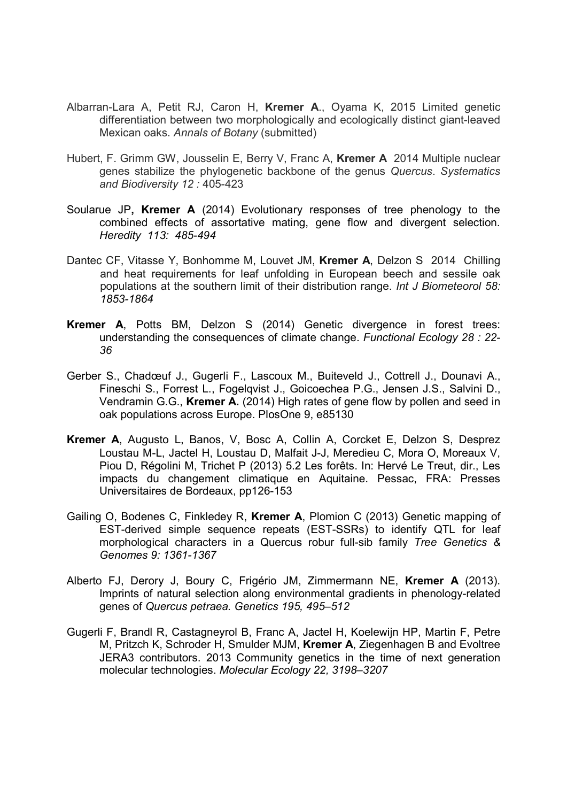- Albarran-Lara A, Petit RJ, Caron H, Kremer A., Oyama K, 2015 Limited genetic differentiation between two morphologically and ecologically distinct giant-leaved Mexican oaks. Annals of Botany (submitted)
- Hubert, F. Grimm GW, Jousselin E, Berry V, Franc A, Kremer A 2014 Multiple nuclear genes stabilize the phylogenetic backbone of the genus Quercus. Systematics and Biodiversity 12 : 405-423
- Soularue JP, Kremer A (2014) Evolutionary responses of tree phenology to the combined effects of assortative mating, gene flow and divergent selection. Heredity 113: 485-494
- Dantec CF, Vitasse Y, Bonhomme M, Louvet JM, Kremer A, Delzon S 2014 Chilling and heat requirements for leaf unfolding in European beech and sessile oak populations at the southern limit of their distribution range. Int J Biometeorol 58: 1853-1864
- Kremer A, Potts BM, Delzon S (2014) Genetic divergence in forest trees: understanding the consequences of climate change. Functional Ecology 28 : 22- 36
- Gerber S., Chadœuf J., Gugerli F., Lascoux M., Buiteveld J., Cottrell J., Dounavi A., Fineschi S., Forrest L., Fogelqvist J., Goicoechea P.G., Jensen J.S., Salvini D., Vendramin G.G., Kremer A. (2014) High rates of gene flow by pollen and seed in oak populations across Europe. PlosOne 9, e85130
- Kremer A, Augusto L, Banos, V, Bosc A, Collin A, Corcket E, Delzon S, Desprez Loustau M-L, Jactel H, Loustau D, Malfait J-J, Meredieu C, Mora O, Moreaux V, Piou D, Régolini M, Trichet P (2013) 5.2 Les forêts. In: Hervé Le Treut, dir., Les impacts du changement climatique en Aquitaine. Pessac, FRA: Presses Universitaires de Bordeaux, pp126-153
- Gailing O, Bodenes C, Finkledey R, Kremer A, Plomion C (2013) Genetic mapping of EST-derived simple sequence repeats (EST-SSRs) to identify QTL for leaf morphological characters in a Quercus robur full-sib family Tree Genetics & Genomes 9: 1361-1367
- Alberto FJ, Derory J, Boury C, Frigério JM, Zimmermann NE, Kremer A (2013). Imprints of natural selection along environmental gradients in phenology-related genes of Quercus petraea. Genetics 195, 495–512
- Gugerli F, Brandl R, Castagneyrol B, Franc A, Jactel H, Koelewijn HP, Martin F, Petre M, Pritzch K, Schroder H, Smulder MJM, Kremer A, Ziegenhagen B and Evoltree JERA3 contributors. 2013 Community genetics in the time of next generation molecular technologies. Molecular Ecology 22, 3198–3207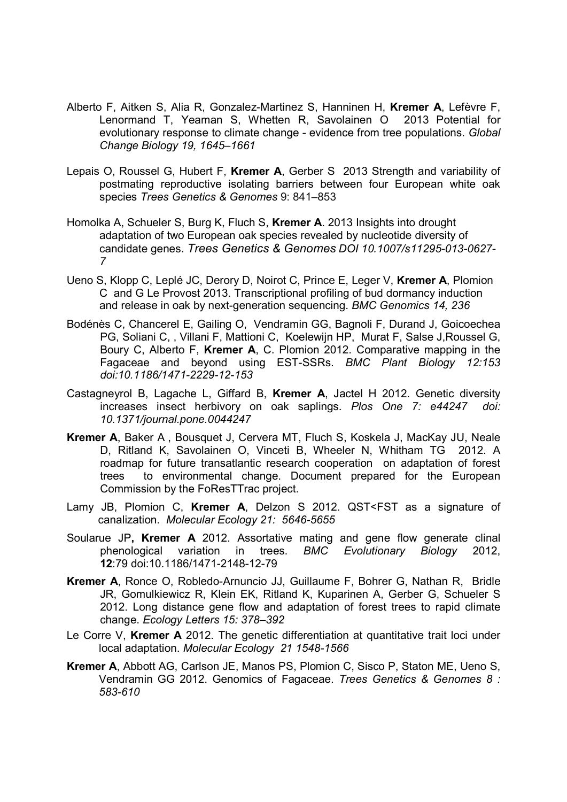- Alberto F, Aitken S, Alia R, Gonzalez-Martinez S, Hanninen H, Kremer A, Lefèvre F, Lenormand T, Yeaman S, Whetten R, Savolainen O 2013 Potential for evolutionary response to climate change - evidence from tree populations. Global Change Biology 19, 1645–1661
- Lepais O, Roussel G, Hubert F, Kremer A, Gerber S 2013 Strength and variability of postmating reproductive isolating barriers between four European white oak species Trees Genetics & Genomes 9: 841–853
- Homolka A, Schueler S, Burg K, Fluch S, Kremer A. 2013 Insights into drought adaptation of two European oak species revealed by nucleotide diversity of candidate genes. Trees Genetics & Genomes DOI 10.1007/s11295-013-0627- 7
- Ueno S, Klopp C, Leplé JC, Derory D, Noirot C, Prince E, Leger V, Kremer A, Plomion C and G Le Provost 2013. Transcriptional profiling of bud dormancy induction and release in oak by next-generation sequencing. BMC Genomics 14, 236
- Bodénès C, Chancerel E, Gailing O, Vendramin GG, Bagnoli F, Durand J, Goicoechea PG, Soliani C, , Villani F, Mattioni C, Koelewijn HP, Murat F, Salse J,Roussel G, Boury C, Alberto F, Kremer A, C. Plomion 2012. Comparative mapping in the Fagaceae and beyond using EST-SSRs. BMC Plant Biology 12:153 doi:10.1186/1471-2229-12-153
- Castagneyrol B, Lagache L, Giffard B, Kremer A, Jactel H 2012. Genetic diversity increases insect herbivory on oak saplings. Plos One 7: e44247 doi: 10.1371/journal.pone.0044247
- Kremer A, Baker A , Bousquet J, Cervera MT, Fluch S, Koskela J, MacKay JU, Neale D, Ritland K, Savolainen O, Vinceti B, Wheeler N, Whitham TG 2012. A roadmap for future transatlantic research cooperation on adaptation of forest trees to environmental change. Document prepared for the European Commission by the FoResTTrac project.
- Lamy JB, Plomion C, Kremer A, Delzon S 2012. QST<FST as a signature of canalization. Molecular Ecology 21: 5646-5655
- Soularue JP, Kremer A 2012. Assortative mating and gene flow generate clinal phenological variation in trees. BMC Evolutionary Biology 2012, 12:79 doi:10.1186/1471-2148-12-79
- Kremer A, Ronce O, Robledo-Arnuncio JJ, Guillaume F, Bohrer G, Nathan R, Bridle JR, Gomulkiewicz R, Klein EK, Ritland K, Kuparinen A, Gerber G, Schueler S 2012. Long distance gene flow and adaptation of forest trees to rapid climate change. Ecology Letters 15: 378–392
- Le Corre V, Kremer A 2012. The genetic differentiation at quantitative trait loci under local adaptation. Molecular Ecology 21 1548-1566
- Kremer A, Abbott AG, Carlson JE, Manos PS, Plomion C, Sisco P, Staton ME, Ueno S, Vendramin GG 2012. Genomics of Fagaceae. Trees Genetics & Genomes 8 : 583-610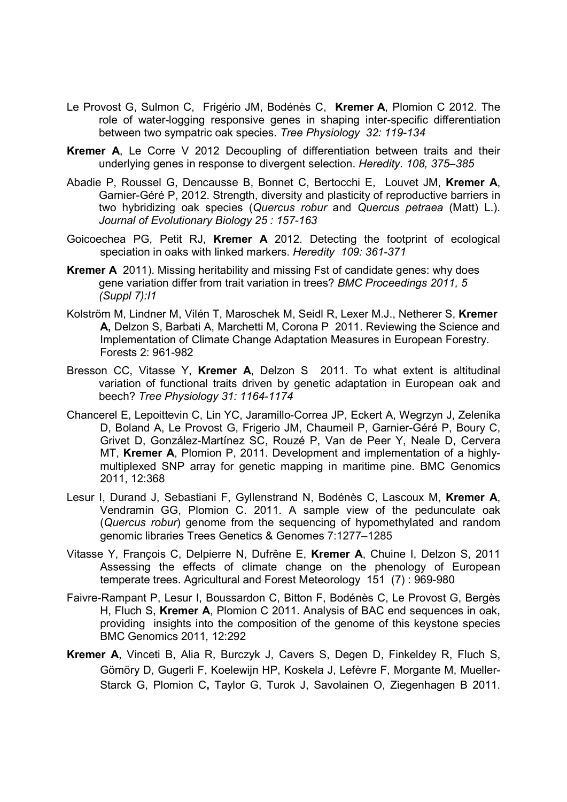- Le Provost G, Sulmon C, Frigério JM, Bodénès C, Kremer A, Plomion C 2012. The role of water-logging responsive genes in shaping inter-specific differentiation between two sympatric oak species. Tree Physiology 32: 119-134
- Kremer A, Le Corre V 2012 Decoupling of differentiation between traits and their underlying genes in response to divergent selection. Heredity. 108, 375–385
- Abadie P, Roussel G, Dencausse B, Bonnet C, Bertocchi E, Louvet JM, Kremer A, Garnier-Géré P, 2012. Strength, diversity and plasticity of reproductive barriers in two hybridizing oak species (Quercus robur and Quercus petraea (Matt) L.). Journal of Evolutionary Biology 25 : 157-163
- Goicoechea PG, Petit RJ, Kremer A 2012. Detecting the footprint of ecological speciation in oaks with linked markers. Heredity 109: 361-371
- Kremer A 2011). Missing heritability and missing Fst of candidate genes: why does gene variation differ from trait variation in trees? BMC Proceedings 2011, 5 (Suppl 7):I1
- Kolström M, Lindner M, Vilén T, Maroschek M, Seidl R, Lexer M.J., Netherer S, Kremer A, Delzon S, Barbati A, Marchetti M, Corona P 2011. Reviewing the Science and Implementation of Climate Change Adaptation Measures in European Forestry. Forests 2: 961-982
- Bresson CC, Vitasse Y, Kremer A, Delzon S 2011. To what extent is altitudinal variation of functional traits driven by genetic adaptation in European oak and beech? Tree Physiology 31: 1164-1174
- Chancerel E, Lepoittevin C, Lin YC, Jaramillo-Correa JP, Eckert A, Wegrzyn J, Zelenika D, Boland A, Le Provost G, Frigerio JM, Chaumeil P, Garnier-Géré P, Boury C, Grivet D, González-Martínez SC, Rouzé P, Van de Peer Y, Neale D, Cervera MT, Kremer A, Plomion P, 2011. Development and implementation of a highlymultiplexed SNP array for genetic mapping in maritime pine. BMC Genomics 2011, 12:368
- Lesur I, Durand J, Sebastiani F, Gyllenstrand N, Bodénès C, Lascoux M, Kremer A, Vendramin GG, Plomion C. 2011. A sample view of the pedunculate oak (Quercus robur) genome from the sequencing of hypomethylated and random genomic libraries Trees Genetics & Genomes 7:1277–1285
- Vitasse Y, François C, Delpierre N, Dufrêne E, Kremer A, Chuine I, Delzon S, 2011 Assessing the effects of climate change on the phenology of European temperate trees. Agricultural and Forest Meteorology 151 (7) : 969-980
- Faivre-Rampant P, Lesur I, Boussardon C, Bitton F, Bodénès C, Le Provost G, Bergès H, Fluch S, Kremer A, Plomion C 2011. Analysis of BAC end sequences in oak, providing insights into the composition of the genome of this keystone species BMC Genomics 2011, 12:292
- Kremer A, Vinceti B, Alia R, Burczyk J, Cavers S, Degen D, Finkeldey R, Fluch S, Gömöry D, Gugerli F, Koelewijn HP, Koskela J, Lefèvre F, Morgante M, Mueller-Starck G, Plomion C, Taylor G, Turok J, Savolainen O, Ziegenhagen B 2011.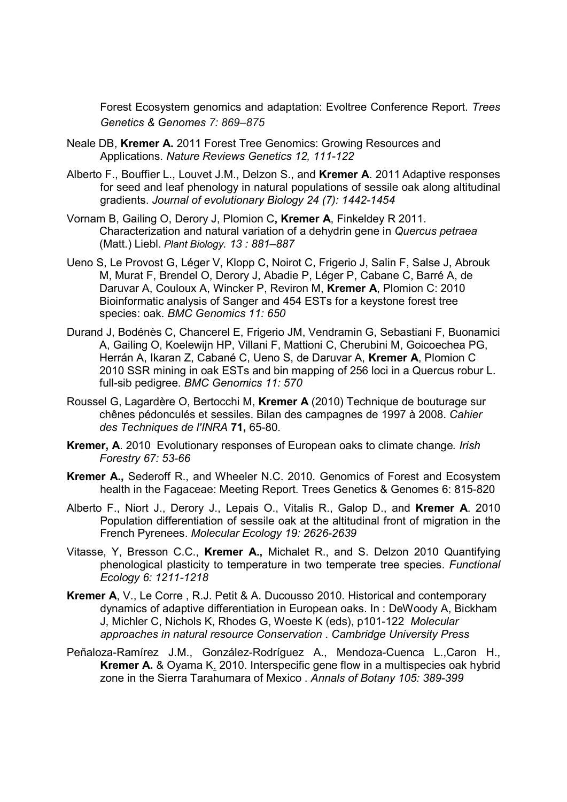Forest Ecosystem genomics and adaptation: Evoltree Conference Report. Trees Genetics & Genomes 7: 869–875

- Neale DB, Kremer A. 2011 Forest Tree Genomics: Growing Resources and Applications. Nature Reviews Genetics 12, 111-122
- Alberto F., Bouffier L., Louvet J.M., Delzon S., and Kremer A. 2011 Adaptive responses for seed and leaf phenology in natural populations of sessile oak along altitudinal gradients. Journal of evolutionary Biology 24 (7): 1442-1454
- Vornam B, Gailing O, Derory J, Plomion C, Kremer A, Finkeldey R 2011. Characterization and natural variation of a dehydrin gene in Quercus petraea (Matt.) Liebl. Plant Biology. 13 : 881–887
- Ueno S, Le Provost G, Léger V, Klopp C, Noirot C, Frigerio J, Salin F, Salse J, Abrouk M, Murat F, Brendel O, Derory J, Abadie P, Léger P, Cabane C, Barré A, de Daruvar A, Couloux A, Wincker P, Reviron M, Kremer A, Plomion C: 2010 Bioinformatic analysis of Sanger and 454 ESTs for a keystone forest tree species: oak. BMC Genomics 11: 650
- Durand J, Bodénès C, Chancerel E, Frigerio JM, Vendramin G, Sebastiani F, Buonamici A, Gailing O, Koelewijn HP, Villani F, Mattioni C, Cherubini M, Goicoechea PG, Herrán A, Ikaran Z, Cabané C, Ueno S, de Daruvar A, Kremer A, Plomion C 2010 SSR mining in oak ESTs and bin mapping of 256 loci in a Quercus robur L. full-sib pedigree. BMC Genomics 11: 570
- Roussel G, Lagardère O, Bertocchi M, Kremer A (2010) Technique de bouturage sur chênes pédonculés et sessiles. Bilan des campagnes de 1997 à 2008. Cahier des Techniques de l'INRA 71, 65-80.
- Kremer, A. 2010 Evolutionary responses of European oaks to climate change. Irish Forestry 67: 53-66
- Kremer A., Sederoff R., and Wheeler N.C. 2010. Genomics of Forest and Ecosystem health in the Fagaceae: Meeting Report. Trees Genetics & Genomes 6: 815-820
- Alberto F., Niort J., Derory J., Lepais O., Vitalis R., Galop D., and Kremer A. 2010 Population differentiation of sessile oak at the altitudinal front of migration in the French Pyrenees. Molecular Ecology 19: 2626-2639
- Vitasse, Y, Bresson C.C., Kremer A., Michalet R., and S. Delzon 2010 Quantifying phenological plasticity to temperature in two temperate tree species. Functional Ecology 6: 1211-1218
- Kremer A, V., Le Corre , R.J. Petit & A. Ducousso 2010. Historical and contemporary dynamics of adaptive differentiation in European oaks. In : DeWoody A, Bickham J, Michler C, Nichols K, Rhodes G, Woeste K (eds), p101-122 Molecular approaches in natural resource Conservation . Cambridge University Press
- Peñaloza-Ramírez J.M., González-Rodríguez A., Mendoza-Cuenca L.,Caron H., Kremer A. & Oyama K. 2010. Interspecific gene flow in a multispecies oak hybrid zone in the Sierra Tarahumara of Mexico . Annals of Botany 105: 389-399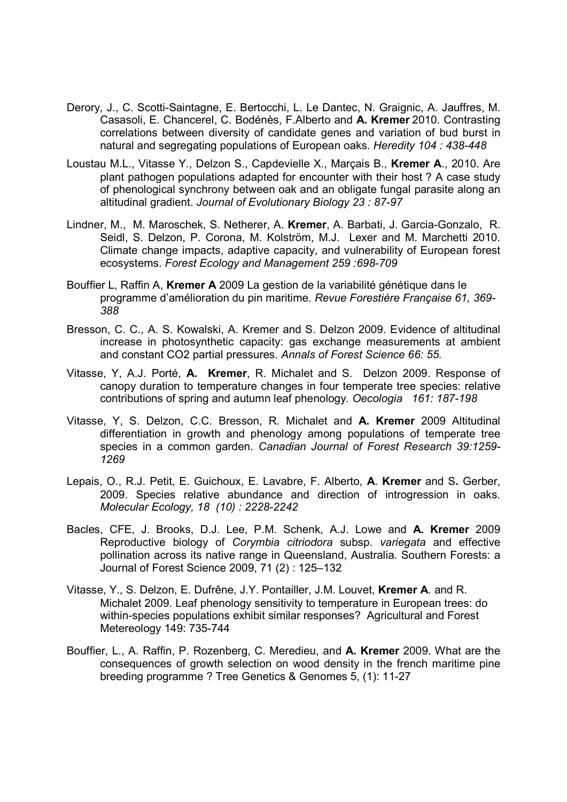- Derory, J., C. Scotti-Saintagne, E. Bertocchi, L. Le Dantec, N. Graignic, A. Jauffres, M. Casasoli, E. Chancerel, C. Bodénès, F.Alberto and A. Kremer 2010. Contrasting correlations between diversity of candidate genes and variation of bud burst in natural and segregating populations of European oaks. Heredity 104 : 438-448
- Loustau M.L., Vitasse Y., Delzon S., Capdevielle X., Marçais B., Kremer A., 2010. Are plant pathogen populations adapted for encounter with their host ? A case study of phenological synchrony between oak and an obligate fungal parasite along an altitudinal gradient. Journal of Evolutionary Biology 23 : 87-97
- Lindner, M., M. Maroschek, S. Netherer, A. Kremer, A. Barbati, J. Garcia-Gonzalo, R. Seidl, S. Delzon, P. Corona, M. Kolström, M.J. Lexer and M. Marchetti 2010. Climate change impacts, adaptive capacity, and vulnerability of European forest ecosystems. Forest Ecology and Management 259 :698-709
- Bouffier L, Raffin A, Kremer A 2009 La gestion de la variabilité génétique dans le programme d'amélioration du pin maritime. Revue Forestière Française 61, 369- 388
- Bresson, C. C., A. S. Kowalski, A. Kremer and S. Delzon 2009. Evidence of altitudinal increase in photosynthetic capacity: gas exchange measurements at ambient and constant CO2 partial pressures. Annals of Forest Science 66: 55.
- Vitasse, Y, A.J. Porté, A. Kremer, R. Michalet and S. Delzon 2009. Response of canopy duration to temperature changes in four temperate tree species: relative contributions of spring and autumn leaf phenology. Oecologia 161: 187-198
- Vitasse, Y, S. Delzon, C.C. Bresson, R. Michalet and A. Kremer 2009 Altitudinal differentiation in growth and phenology among populations of temperate tree species in a common garden. Canadian Journal of Forest Research 39:1259- 1269
- Lepais, O., R.J. Petit, E. Guichoux, E. Lavabre, F. Alberto, A. Kremer and S. Gerber, 2009. Species relative abundance and direction of introgression in oaks. Molecular Ecology, 18 (10) : 2228-2242
- Bacles, CFE, J. Brooks, D.J. Lee, P.M. Schenk, A.J. Lowe and A. Kremer 2009 Reproductive biology of Corymbia citriodora subsp. variegata and effective pollination across its native range in Queensland, Australia. Southern Forests: a Journal of Forest Science 2009, 71 (2) : 125–132
- Vitasse, Y., S. Delzon, E. Dufrêne, J.Y. Pontailler, J.M. Louvet, Kremer A. and R. Michalet 2009. Leaf phenology sensitivity to temperature in European trees: do within-species populations exhibit similar responses? Agricultural and Forest Metereology 149: 735-744
- Bouffier, L., A. Raffin, P. Rozenberg, C. Meredieu, and A. Kremer 2009. What are the consequences of growth selection on wood density in the french maritime pine breeding programme ? Tree Genetics & Genomes 5, (1): 11-27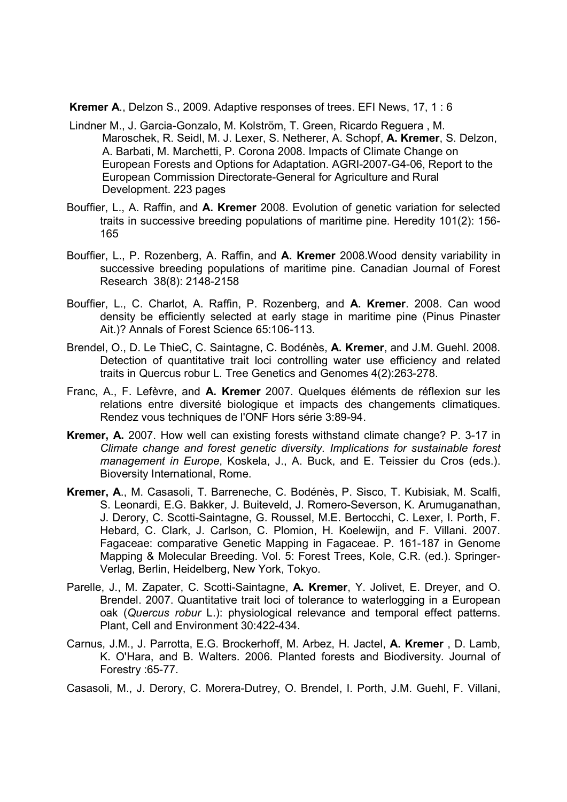Kremer A., Delzon S., 2009. Adaptive responses of trees. EFI News, 17, 1 : 6

- Lindner M., J. Garcia-Gonzalo, M. Kolström, T. Green, Ricardo Reguera , M. Maroschek, R. Seidl, M. J. Lexer, S. Netherer, A. Schopf, A. Kremer, S. Delzon, A. Barbati, M. Marchetti, P. Corona 2008. Impacts of Climate Change on European Forests and Options for Adaptation. AGRI-2007-G4-06, Report to the European Commission Directorate-General for Agriculture and Rural Development. 223 pages
- Bouffier, L., A. Raffin, and A. Kremer 2008. Evolution of genetic variation for selected traits in successive breeding populations of maritime pine. Heredity 101(2): 156- 165
- Bouffier, L., P. Rozenberg, A. Raffin, and A. Kremer 2008.Wood density variability in successive breeding populations of maritime pine. Canadian Journal of Forest Research 38(8): 2148-2158
- Bouffier, L., C. Charlot, A. Raffin, P. Rozenberg, and A. Kremer. 2008. Can wood density be efficiently selected at early stage in maritime pine (Pinus Pinaster Ait.)? Annals of Forest Science 65:106-113.
- Brendel, O., D. Le ThieC, C. Saintagne, C. Bodénès, A. Kremer, and J.M. Guehl. 2008. Detection of quantitative trait loci controlling water use efficiency and related traits in Quercus robur L. Tree Genetics and Genomes 4(2):263-278.
- Franc, A., F. Lefèvre, and A. Kremer 2007. Quelques éléments de réflexion sur les relations entre diversité biologique et impacts des changements climatiques. Rendez vous techniques de l'ONF Hors série 3:89-94.
- Kremer, A. 2007. How well can existing forests withstand climate change? P. 3-17 in Climate change and forest genetic diversity. Implications for sustainable forest management in Europe, Koskela, J., A. Buck, and E. Teissier du Cros (eds.). Bioversity International, Rome.
- Kremer, A., M. Casasoli, T. Barreneche, C. Bodénès, P. Sisco, T. Kubisiak, M. Scalfi, S. Leonardi, E.G. Bakker, J. Buiteveld, J. Romero-Severson, K. Arumuganathan, J. Derory, C. Scotti-Saintagne, G. Roussel, M.E. Bertocchi, C. Lexer, I. Porth, F. Hebard, C. Clark, J. Carlson, C. Plomion, H. Koelewijn, and F. Villani. 2007. Fagaceae: comparative Genetic Mapping in Fagaceae. P. 161-187 in Genome Mapping & Molecular Breeding. Vol. 5: Forest Trees, Kole, C.R. (ed.). Springer-Verlag, Berlin, Heidelberg, New York, Tokyo.
- Parelle, J., M. Zapater, C. Scotti-Saintagne, A. Kremer, Y. Jolivet, E. Dreyer, and O. Brendel. 2007. Quantitative trait loci of tolerance to waterlogging in a European oak (Quercus robur L.): physiological relevance and temporal effect patterns. Plant, Cell and Environment 30:422-434.
- Carnus, J.M., J. Parrotta, E.G. Brockerhoff, M. Arbez, H. Jactel, A. Kremer , D. Lamb, K. O'Hara, and B. Walters. 2006. Planted forests and Biodiversity. Journal of Forestry :65-77.

Casasoli, M., J. Derory, C. Morera-Dutrey, O. Brendel, I. Porth, J.M. Guehl, F. Villani,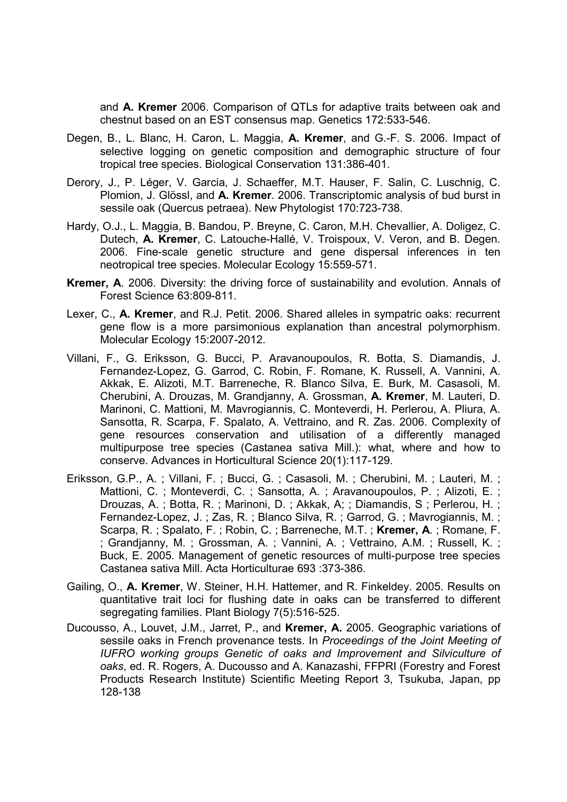and A. Kremer 2006. Comparison of QTLs for adaptive traits between oak and chestnut based on an EST consensus map. Genetics 172:533-546.

- Degen, B., L. Blanc, H. Caron, L. Maggia, A. Kremer, and G.-F. S. 2006. Impact of selective logging on genetic composition and demographic structure of four tropical tree species. Biological Conservation 131:386-401.
- Derory, J., P. Léger, V. Garcia, J. Schaeffer, M.T. Hauser, F. Salin, C. Luschnig, C. Plomion, J. Glössl, and A. Kremer. 2006. Transcriptomic analysis of bud burst in sessile oak (Quercus petraea). New Phytologist 170:723-738.
- Hardy, O.J., L. Maggia, B. Bandou, P. Breyne, C. Caron, M.H. Chevallier, A. Doligez, C. Dutech, A. Kremer, C. Latouche-Hallé, V. Troispoux, V. Veron, and B. Degen. 2006. Fine-scale genetic structure and gene dispersal inferences in ten neotropical tree species. Molecular Ecology 15:559-571.
- Kremer, A. 2006. Diversity: the driving force of sustainability and evolution. Annals of Forest Science 63:809-811.
- Lexer, C., A. Kremer, and R.J. Petit. 2006. Shared alleles in sympatric oaks: recurrent gene flow is a more parsimonious explanation than ancestral polymorphism. Molecular Ecology 15:2007-2012.
- Villani, F., G. Eriksson, G. Bucci, P. Aravanoupoulos, R. Botta, S. Diamandis, J. Fernandez-Lopez, G. Garrod, C. Robin, F. Romane, K. Russell, A. Vannini, A. Akkak, E. Alizoti, M.T. Barreneche, R. Blanco Silva, E. Burk, M. Casasoli, M. Cherubini, A. Drouzas, M. Grandjanny, A. Grossman, A. Kremer, M. Lauteri, D. Marinoni, C. Mattioni, M. Mavrogiannis, C. Monteverdi, H. Perlerou, A. Pliura, A. Sansotta, R. Scarpa, F. Spalato, A. Vettraino, and R. Zas. 2006. Complexity of gene resources conservation and utilisation of a differently managed multipurpose tree species (Castanea sativa Mill.): what, where and how to conserve. Advances in Horticultural Science 20(1):117-129.
- Eriksson, G.P., A. ; Villani, F. ; Bucci, G. ; Casasoli, M. ; Cherubini, M. ; Lauteri, M. ; Mattioni, C. ; Monteverdi, C. ; Sansotta, A. ; Aravanoupoulos, P. ; Alizoti, E. ; Drouzas, A. ; Botta, R. ; Marinoni, D. ; Akkak, A; ; Diamandis, S ; Perlerou, H. ; Fernandez-Lopez, J. ; Zas, R. ; Blanco Silva, R. ; Garrod, G. ; Mavrogiannis, M. ; Scarpa, R.; Spalato, F.; Robin, C.; Barreneche, M.T.; Kremer, A.; Romane, F. ; Grandjanny, M. ; Grossman, A. ; Vannini, A. ; Vettraino, A.M. ; Russell, K. ; Buck, E. 2005. Management of genetic resources of multi-purpose tree species Castanea sativa Mill. Acta Horticulturae 693 :373-386.
- Gailing, O., A. Kremer, W. Steiner, H.H. Hattemer, and R. Finkeldey. 2005. Results on quantitative trait loci for flushing date in oaks can be transferred to different segregating families. Plant Biology 7(5):516-525.
- Ducousso, A., Louvet, J.M., Jarret, P., and Kremer, A. 2005. Geographic variations of sessile oaks in French provenance tests. In Proceedings of the Joint Meeting of IUFRO working groups Genetic of oaks and Improvement and Silviculture of oaks, ed. R. Rogers, A. Ducousso and A. Kanazashi, FFPRI (Forestry and Forest Products Research Institute) Scientific Meeting Report 3, Tsukuba, Japan, pp 128-138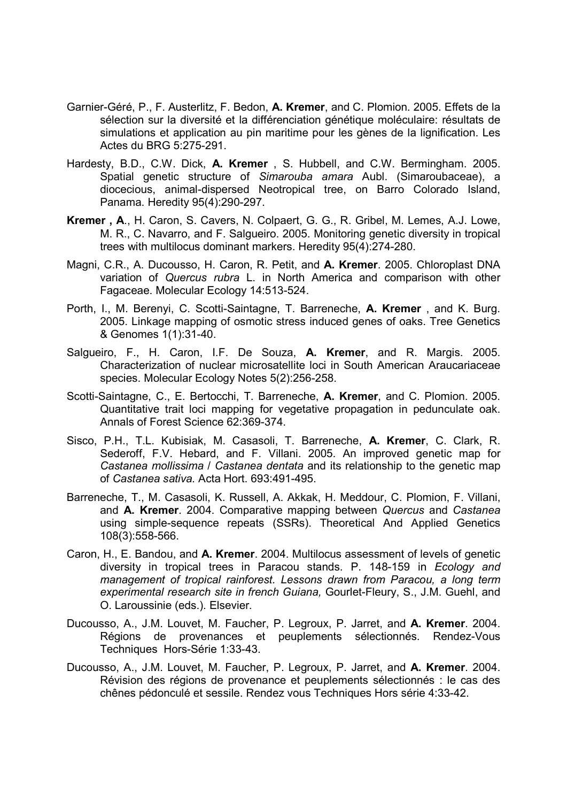- Garnier-Géré, P., F. Austerlitz, F. Bedon, A. Kremer, and C. Plomion. 2005. Effets de la sélection sur la diversité et la différenciation génétique moléculaire: résultats de simulations et application au pin maritime pour les gènes de la lignification. Les Actes du BRG 5:275-291.
- Hardesty, B.D., C.W. Dick, A. Kremer , S. Hubbell, and C.W. Bermingham. 2005. Spatial genetic structure of Simarouba amara Aubl. (Simaroubaceae), a diocecious, animal-dispersed Neotropical tree, on Barro Colorado Island, Panama. Heredity 95(4):290-297.
- Kremer , A., H. Caron, S. Cavers, N. Colpaert, G. G., R. Gribel, M. Lemes, A.J. Lowe, M. R., C. Navarro, and F. Salgueiro. 2005. Monitoring genetic diversity in tropical trees with multilocus dominant markers. Heredity 95(4):274-280.
- Magni, C.R., A. Ducousso, H. Caron, R. Petit, and A. Kremer. 2005. Chloroplast DNA variation of Quercus rubra L. in North America and comparison with other Fagaceae. Molecular Ecology 14:513-524.
- Porth, I., M. Berenyi, C. Scotti-Saintagne, T. Barreneche, A. Kremer , and K. Burg. 2005. Linkage mapping of osmotic stress induced genes of oaks. Tree Genetics & Genomes 1(1):31-40.
- Salgueiro, F., H. Caron, I.F. De Souza, A. Kremer, and R. Margis. 2005. Characterization of nuclear microsatellite loci in South American Araucariaceae species. Molecular Ecology Notes 5(2):256-258.
- Scotti-Saintagne, C., E. Bertocchi, T. Barreneche, A. Kremer, and C. Plomion. 2005. Quantitative trait loci mapping for vegetative propagation in pedunculate oak. Annals of Forest Science 62:369-374.
- Sisco, P.H., T.L. Kubisiak, M. Casasoli, T. Barreneche, A. Kremer, C. Clark, R. Sederoff, F.V. Hebard, and F. Villani. 2005. An improved genetic map for Castanea mollissima / Castanea dentata and its relationship to the genetic map of Castanea sativa. Acta Hort. 693:491-495.
- Barreneche, T., M. Casasoli, K. Russell, A. Akkak, H. Meddour, C. Plomion, F. Villani, and A. Kremer. 2004. Comparative mapping between Quercus and Castanea using simple-sequence repeats (SSRs). Theoretical And Applied Genetics 108(3):558-566.
- Caron, H., E. Bandou, and A. Kremer. 2004. Multilocus assessment of levels of genetic diversity in tropical trees in Paracou stands. P. 148-159 in Ecology and management of tropical rainforest. Lessons drawn from Paracou, a long term experimental research site in french Guiana, Gourlet-Fleury, S., J.M. Guehl, and O. Laroussinie (eds.). Elsevier.
- Ducousso, A., J.M. Louvet, M. Faucher, P. Legroux, P. Jarret, and A. Kremer. 2004. Régions de provenances et peuplements sélectionnés. Rendez-Vous Techniques Hors-Série 1:33-43.
- Ducousso, A., J.M. Louvet, M. Faucher, P. Legroux, P. Jarret, and A. Kremer. 2004. Révision des régions de provenance et peuplements sélectionnés : le cas des chênes pédonculé et sessile. Rendez vous Techniques Hors série 4:33-42.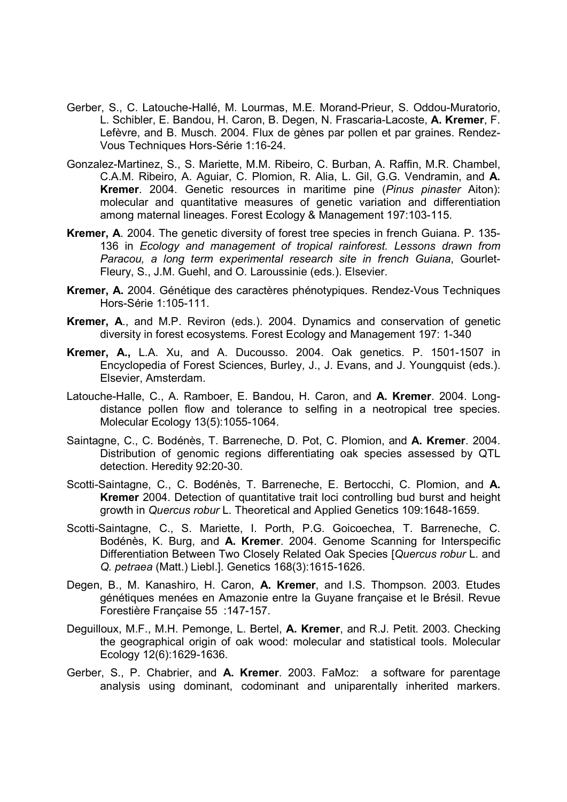- Gerber, S., C. Latouche-Hallé, M. Lourmas, M.E. Morand-Prieur, S. Oddou-Muratorio, L. Schibler, E. Bandou, H. Caron, B. Degen, N. Frascaria-Lacoste, A. Kremer, F. Lefèvre, and B. Musch. 2004. Flux de gènes par pollen et par graines. Rendez-Vous Techniques Hors-Série 1:16-24.
- Gonzalez-Martinez, S., S. Mariette, M.M. Ribeiro, C. Burban, A. Raffin, M.R. Chambel, C.A.M. Ribeiro, A. Aguiar, C. Plomion, R. Alia, L. Gil, G.G. Vendramin, and A. Kremer. 2004. Genetic resources in maritime pine (Pinus pinaster Aiton): molecular and quantitative measures of genetic variation and differentiation among maternal lineages. Forest Ecology & Management 197:103-115.
- Kremer, A. 2004. The genetic diversity of forest tree species in french Guiana. P. 135- 136 in Ecology and management of tropical rainforest. Lessons drawn from Paracou, a long term experimental research site in french Guiana, Gourlet-Fleury, S., J.M. Guehl, and O. Laroussinie (eds.). Elsevier.
- Kremer, A. 2004. Génétique des caractères phénotypiques. Rendez-Vous Techniques Hors-Série 1:105-111.
- Kremer, A., and M.P. Reviron (eds.). 2004. Dynamics and conservation of genetic diversity in forest ecosystems. Forest Ecology and Management 197: 1-340
- Kremer, A., L.A. Xu, and A. Ducousso. 2004. Oak genetics. P. 1501-1507 in Encyclopedia of Forest Sciences, Burley, J., J. Evans, and J. Youngquist (eds.). Elsevier, Amsterdam.
- Latouche-Halle, C., A. Ramboer, E. Bandou, H. Caron, and A. Kremer. 2004. Longdistance pollen flow and tolerance to selfing in a neotropical tree species. Molecular Ecology 13(5):1055-1064.
- Saintagne, C., C. Bodénès, T. Barreneche, D. Pot, C. Plomion, and A. Kremer. 2004. Distribution of genomic regions differentiating oak species assessed by QTL detection. Heredity 92:20-30.
- Scotti-Saintagne, C., C. Bodénès, T. Barreneche, E. Bertocchi, C. Plomion, and A. Kremer 2004. Detection of quantitative trait loci controlling bud burst and height growth in Quercus robur L. Theoretical and Applied Genetics 109:1648-1659.
- Scotti-Saintagne, C., S. Mariette, I. Porth, P.G. Goicoechea, T. Barreneche, C. Bodénès, K. Burg, and A. Kremer. 2004. Genome Scanning for Interspecific Differentiation Between Two Closely Related Oak Species [Quercus robur L. and Q. petraea (Matt.) Liebl.]. Genetics 168(3):1615-1626.
- Degen, B., M. Kanashiro, H. Caron, A. Kremer, and I.S. Thompson. 2003. Etudes génétiques menées en Amazonie entre la Guyane française et le Brésil. Revue Forestière Française 55 :147-157.
- Deguilloux, M.F., M.H. Pemonge, L. Bertel, A. Kremer, and R.J. Petit. 2003. Checking the geographical origin of oak wood: molecular and statistical tools. Molecular Ecology 12(6):1629-1636.
- Gerber, S., P. Chabrier, and A. Kremer. 2003. FaMoz: a software for parentage analysis using dominant, codominant and uniparentally inherited markers.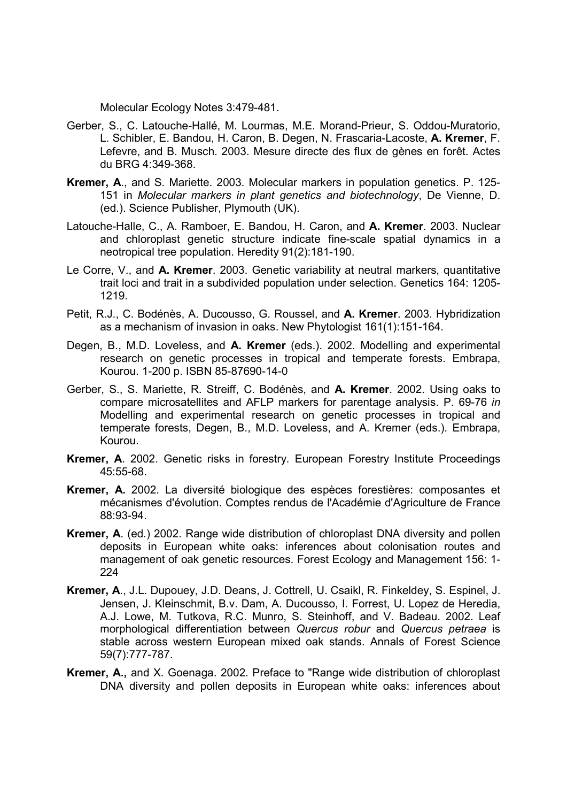Molecular Ecology Notes 3:479-481.

- Gerber, S., C. Latouche-Hallé, M. Lourmas, M.E. Morand-Prieur, S. Oddou-Muratorio, L. Schibler, E. Bandou, H. Caron, B. Degen, N. Frascaria-Lacoste, A. Kremer, F. Lefevre, and B. Musch. 2003. Mesure directe des flux de gènes en forêt. Actes du BRG 4:349-368.
- Kremer, A., and S. Mariette. 2003. Molecular markers in population genetics. P. 125- 151 in Molecular markers in plant genetics and biotechnology, De Vienne, D. (ed.). Science Publisher, Plymouth (UK).
- Latouche-Halle, C., A. Ramboer, E. Bandou, H. Caron, and A. Kremer. 2003. Nuclear and chloroplast genetic structure indicate fine-scale spatial dynamics in a neotropical tree population. Heredity 91(2):181-190.
- Le Corre, V., and A. Kremer. 2003. Genetic variability at neutral markers, quantitative trait loci and trait in a subdivided population under selection. Genetics 164: 1205- 1219.
- Petit, R.J., C. Bodénès, A. Ducousso, G. Roussel, and A. Kremer. 2003. Hybridization as a mechanism of invasion in oaks. New Phytologist 161(1):151-164.
- Degen, B., M.D. Loveless, and A. Kremer (eds.). 2002. Modelling and experimental research on genetic processes in tropical and temperate forests. Embrapa, Kourou. 1-200 p. ISBN 85-87690-14-0
- Gerber, S., S. Mariette, R. Streiff, C. Bodénès, and A. Kremer. 2002. Using oaks to compare microsatellites and AFLP markers for parentage analysis. P. 69-76 in Modelling and experimental research on genetic processes in tropical and temperate forests, Degen, B., M.D. Loveless, and A. Kremer (eds.). Embrapa, Kourou.
- Kremer, A. 2002. Genetic risks in forestry. European Forestry Institute Proceedings 45:55-68.
- Kremer, A. 2002. La diversité biologique des espèces forestières: composantes et mécanismes d'évolution. Comptes rendus de l'Académie d'Agriculture de France 88:93-94.
- Kremer, A. (ed.) 2002. Range wide distribution of chloroplast DNA diversity and pollen deposits in European white oaks: inferences about colonisation routes and management of oak genetic resources. Forest Ecology and Management 156: 1- 224
- Kremer, A., J.L. Dupouey, J.D. Deans, J. Cottrell, U. Csaikl, R. Finkeldey, S. Espinel, J. Jensen, J. Kleinschmit, B.v. Dam, A. Ducousso, I. Forrest, U. Lopez de Heredia, A.J. Lowe, M. Tutkova, R.C. Munro, S. Steinhoff, and V. Badeau. 2002. Leaf morphological differentiation between Quercus robur and Quercus petraea is stable across western European mixed oak stands. Annals of Forest Science 59(7):777-787.
- Kremer, A., and X. Goenaga. 2002. Preface to "Range wide distribution of chloroplast DNA diversity and pollen deposits in European white oaks: inferences about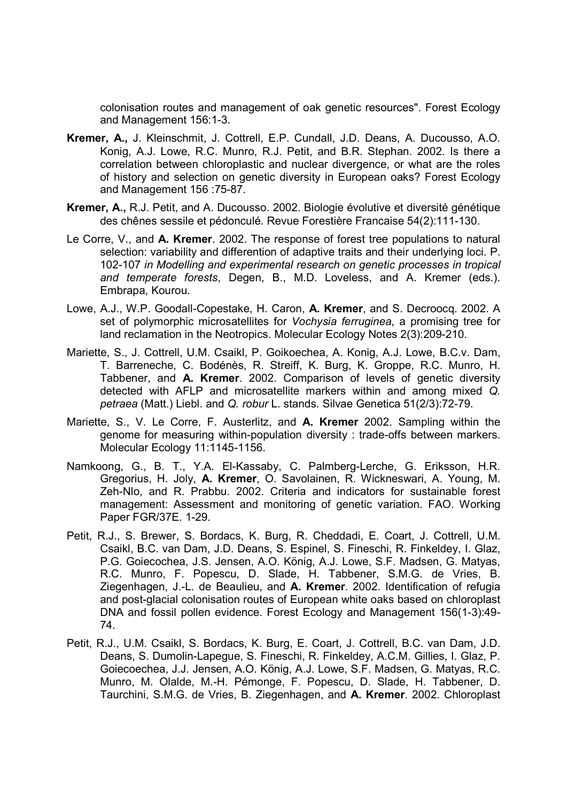colonisation routes and management of oak genetic resources". Forest Ecology and Management 156:1-3.

- Kremer, A., J. Kleinschmit, J. Cottrell, E.P. Cundall, J.D. Deans, A. Ducousso, A.O. Konig, A.J. Lowe, R.C. Munro, R.J. Petit, and B.R. Stephan. 2002. Is there a correlation between chloroplastic and nuclear divergence, or what are the roles of history and selection on genetic diversity in European oaks? Forest Ecology and Management 156 :75-87.
- Kremer, A., R.J. Petit, and A. Ducousso. 2002. Biologie évolutive et diversité génétique des chênes sessile et pédonculé. Revue Forestière Francaise 54(2):111-130.
- Le Corre, V., and A. Kremer. 2002. The response of forest tree populations to natural selection: variability and differention of adaptive traits and their underlying loci. P. 102-107 in Modelling and experimental research on genetic processes in tropical and temperate forests, Degen, B., M.D. Loveless, and A. Kremer (eds.). Embrapa, Kourou.
- Lowe, A.J., W.P. Goodall-Copestake, H. Caron, A. Kremer, and S. Decroocq. 2002. A set of polymorphic microsatellites for Vochysia ferruginea, a promising tree for land reclamation in the Neotropics. Molecular Ecology Notes 2(3):209-210.
- Mariette, S., J. Cottrell, U.M. Csaikl, P. Goikoechea, A. Konig, A.J. Lowe, B.C.v. Dam, T. Barreneche, C. Bodénès, R. Streiff, K. Burg, K. Groppe, R.C. Munro, H. Tabbener, and A. Kremer. 2002. Comparison of levels of genetic diversity detected with AFLP and microsatellite markers within and among mixed Q. petraea (Matt.) Liebl. and Q. robur L. stands. Silvae Genetica 51(2/3):72-79.
- Mariette, S., V. Le Corre, F. Austerlitz, and A. Kremer 2002. Sampling within the genome for measuring within-population diversity : trade-offs between markers. Molecular Ecology 11:1145-1156.
- Namkoong, G., B. T., Y.A. El-Kassaby, C. Palmberg-Lerche, G. Eriksson, H.R. Gregorius, H. Joly, A. Kremer, O. Savolainen, R. Wickneswari, A. Young, M. Zeh-Nlo, and R. Prabbu. 2002. Criteria and indicators for sustainable forest management: Assessment and monitoring of genetic variation. FAO. Working Paper FGR/37E. 1-29.
- Petit, R.J., S. Brewer, S. Bordacs, K. Burg, R. Cheddadi, E. Coart, J. Cottrell, U.M. Csaikl, B.C. van Dam, J.D. Deans, S. Espinel, S. Fineschi, R. Finkeldey, I. Glaz, P.G. Goiecochea, J.S. Jensen, A.O. König, A.J. Lowe, S.F. Madsen, G. Matyas, R.C. Munro, F. Popescu, D. Slade, H. Tabbener, S.M.G. de Vries, B. Ziegenhagen, J.-L. de Beaulieu, and A. Kremer. 2002. Identification of refugia and post-glacial colonisation routes of European white oaks based on chloroplast DNA and fossil pollen evidence. Forest Ecology and Management 156(1-3):49- 74.
- Petit, R.J., U.M. Csaikl, S. Bordacs, K. Burg, E. Coart, J. Cottrell, B.C. van Dam, J.D. Deans, S. Dumolin-Lapegue, S. Fineschi, R. Finkeldey, A.C.M. Gillies, I. Glaz, P. Goiecoechea, J.J. Jensen, A.O. König, A.J. Lowe, S.F. Madsen, G. Matyas, R.C. Munro, M. Olalde, M.-H. Pémonge, F. Popescu, D. Slade, H. Tabbener, D. Taurchini, S.M.G. de Vries, B. Ziegenhagen, and A. Kremer. 2002. Chloroplast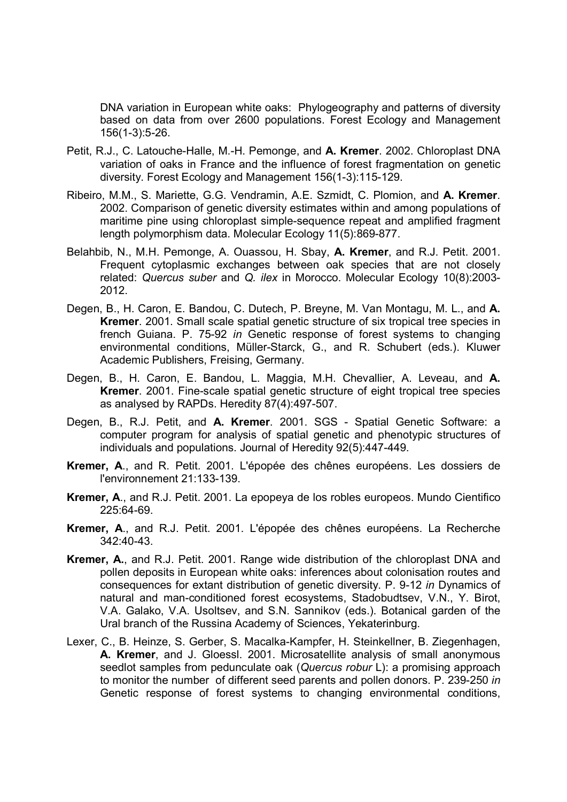DNA variation in European white oaks: Phylogeography and patterns of diversity based on data from over 2600 populations. Forest Ecology and Management 156(1-3):5-26.

- Petit, R.J., C. Latouche-Halle, M.-H. Pemonge, and A. Kremer. 2002. Chloroplast DNA variation of oaks in France and the influence of forest fragmentation on genetic diversity. Forest Ecology and Management 156(1-3):115-129.
- Ribeiro, M.M., S. Mariette, G.G. Vendramin, A.E. Szmidt, C. Plomion, and A. Kremer. 2002. Comparison of genetic diversity estimates within and among populations of maritime pine using chloroplast simple-sequence repeat and amplified fragment length polymorphism data. Molecular Ecology 11(5):869-877.
- Belahbib, N., M.H. Pemonge, A. Ouassou, H. Sbay, A. Kremer, and R.J. Petit. 2001. Frequent cytoplasmic exchanges between oak species that are not closely related: Quercus suber and Q. ilex in Morocco. Molecular Ecology 10(8):2003- 2012.
- Degen, B., H. Caron, E. Bandou, C. Dutech, P. Breyne, M. Van Montagu, M. L., and A. Kremer. 2001. Small scale spatial genetic structure of six tropical tree species in french Guiana. P. 75-92 in Genetic response of forest systems to changing environmental conditions, Müller-Starck, G., and R. Schubert (eds.). Kluwer Academic Publishers, Freising, Germany.
- Degen, B., H. Caron, E. Bandou, L. Maggia, M.H. Chevallier, A. Leveau, and A. Kremer. 2001. Fine-scale spatial genetic structure of eight tropical tree species as analysed by RAPDs. Heredity 87(4):497-507.
- Degen, B., R.J. Petit, and A. Kremer. 2001. SGS Spatial Genetic Software: a computer program for analysis of spatial genetic and phenotypic structures of individuals and populations. Journal of Heredity 92(5):447-449.
- Kremer, A., and R. Petit. 2001. L'épopée des chênes européens. Les dossiers de l'environnement 21:133-139.
- Kremer, A., and R.J. Petit. 2001. La epopeya de los robles europeos. Mundo Cientifico 225:64-69.
- Kremer, A., and R.J. Petit. 2001. L'épopée des chênes européens. La Recherche 342:40-43.
- Kremer, A., and R.J. Petit. 2001. Range wide distribution of the chloroplast DNA and pollen deposits in European white oaks: inferences about colonisation routes and consequences for extant distribution of genetic diversity. P. 9-12 in Dynamics of natural and man-conditioned forest ecosystems, Stadobudtsev, V.N., Y. Birot, V.A. Galako, V.A. Usoltsev, and S.N. Sannikov (eds.). Botanical garden of the Ural branch of the Russina Academy of Sciences, Yekaterinburg.
- Lexer, C., B. Heinze, S. Gerber, S. Macalka-Kampfer, H. Steinkellner, B. Ziegenhagen, A. Kremer, and J. Gloessl. 2001. Microsatellite analysis of small anonymous seedlot samples from pedunculate oak (Quercus robur L): a promising approach to monitor the number of different seed parents and pollen donors. P. 239-250 in Genetic response of forest systems to changing environmental conditions,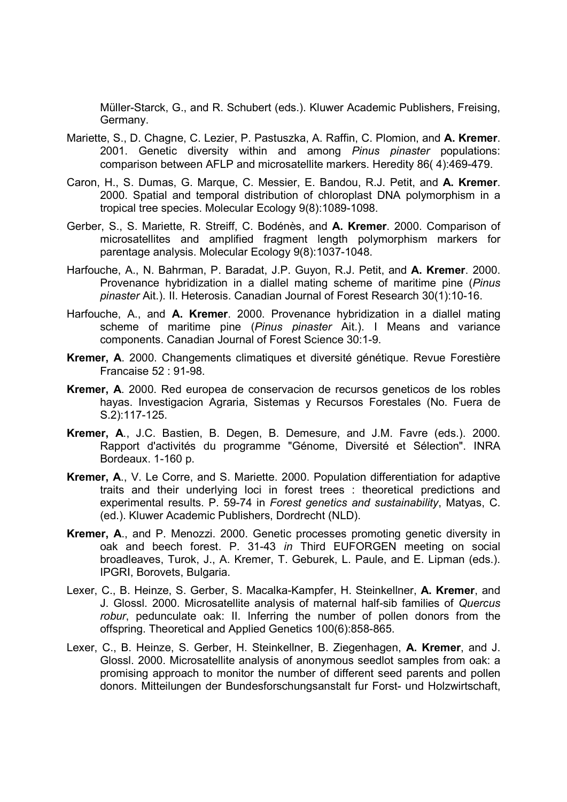Müller-Starck, G., and R. Schubert (eds.). Kluwer Academic Publishers, Freising, Germany.

- Mariette, S., D. Chagne, C. Lezier, P. Pastuszka, A. Raffin, C. Plomion, and A. Kremer. 2001. Genetic diversity within and among Pinus pinaster populations: comparison between AFLP and microsatellite markers. Heredity 86( 4):469-479.
- Caron, H., S. Dumas, G. Marque, C. Messier, E. Bandou, R.J. Petit, and A. Kremer. 2000. Spatial and temporal distribution of chloroplast DNA polymorphism in a tropical tree species. Molecular Ecology 9(8):1089-1098.
- Gerber, S., S. Mariette, R. Streiff, C. Bodénès, and A. Kremer. 2000. Comparison of microsatellites and amplified fragment length polymorphism markers for parentage analysis. Molecular Ecology 9(8):1037-1048.
- Harfouche, A., N. Bahrman, P. Baradat, J.P. Guyon, R.J. Petit, and A. Kremer. 2000. Provenance hybridization in a diallel mating scheme of maritime pine (Pinus pinaster Ait.). II. Heterosis. Canadian Journal of Forest Research 30(1):10-16.
- Harfouche, A., and A. Kremer. 2000. Provenance hybridization in a diallel mating scheme of maritime pine (Pinus pinaster Ait.). I Means and variance components. Canadian Journal of Forest Science 30:1-9.
- Kremer, A. 2000. Changements climatiques et diversité génétique. Revue Forestière Francaise 52 : 91-98.
- Kremer, A. 2000. Red europea de conservacion de recursos geneticos de los robles hayas. Investigacion Agraria, Sistemas y Recursos Forestales (No. Fuera de S.2):117-125.
- Kremer, A., J.C. Bastien, B. Degen, B. Demesure, and J.M. Favre (eds.). 2000. Rapport d'activités du programme "Génome, Diversité et Sélection". INRA Bordeaux. 1-160 p.
- Kremer, A., V. Le Corre, and S. Mariette. 2000. Population differentiation for adaptive traits and their underlying loci in forest trees : theoretical predictions and experimental results. P. 59-74 in Forest genetics and sustainability, Matyas, C. (ed.). Kluwer Academic Publishers, Dordrecht (NLD).
- Kremer, A., and P. Menozzi. 2000. Genetic processes promoting genetic diversity in oak and beech forest. P. 31-43 in Third EUFORGEN meeting on social broadleaves, Turok, J., A. Kremer, T. Geburek, L. Paule, and E. Lipman (eds.). IPGRI, Borovets, Bulgaria.
- Lexer, C., B. Heinze, S. Gerber, S. Macalka-Kampfer, H. Steinkellner, A. Kremer, and J. Glossl. 2000. Microsatellite analysis of maternal half-sib families of Quercus robur, pedunculate oak: II. Inferring the number of pollen donors from the offspring. Theoretical and Applied Genetics 100(6):858-865.
- Lexer, C., B. Heinze, S. Gerber, H. Steinkellner, B. Ziegenhagen, A. Kremer, and J. Glossl. 2000. Microsatellite analysis of anonymous seedlot samples from oak: a promising approach to monitor the number of different seed parents and pollen donors. Mitteilungen der Bundesforschungsanstalt fur Forst- und Holzwirtschaft,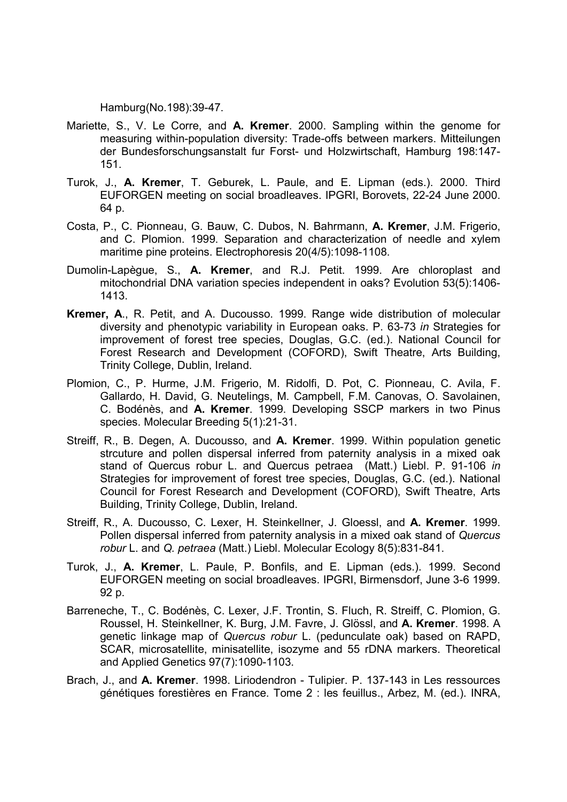Hamburg(No.198):39-47.

- Mariette, S., V. Le Corre, and A. Kremer. 2000. Sampling within the genome for measuring within-population diversity: Trade-offs between markers. Mitteilungen der Bundesforschungsanstalt fur Forst- und Holzwirtschaft, Hamburg 198:147- 151.
- Turok, J., A. Kremer, T. Geburek, L. Paule, and E. Lipman (eds.). 2000. Third EUFORGEN meeting on social broadleaves. IPGRI, Borovets, 22-24 June 2000. 64 p.
- Costa, P., C. Pionneau, G. Bauw, C. Dubos, N. Bahrmann, A. Kremer, J.M. Frigerio, and C. Plomion. 1999. Separation and characterization of needle and xylem maritime pine proteins. Electrophoresis 20(4/5):1098-1108.
- Dumolin-Lapègue, S., A. Kremer, and R.J. Petit. 1999. Are chloroplast and mitochondrial DNA variation species independent in oaks? Evolution 53(5):1406- 1413.
- Kremer, A., R. Petit, and A. Ducousso. 1999. Range wide distribution of molecular diversity and phenotypic variability in European oaks. P. 63-73 in Strategies for improvement of forest tree species, Douglas, G.C. (ed.). National Council for Forest Research and Development (COFORD), Swift Theatre, Arts Building, Trinity College, Dublin, Ireland.
- Plomion, C., P. Hurme, J.M. Frigerio, M. Ridolfi, D. Pot, C. Pionneau, C. Avila, F. Gallardo, H. David, G. Neutelings, M. Campbell, F.M. Canovas, O. Savolainen, C. Bodénès, and A. Kremer. 1999. Developing SSCP markers in two Pinus species. Molecular Breeding 5(1):21-31.
- Streiff, R., B. Degen, A. Ducousso, and A. Kremer. 1999. Within population genetic strcuture and pollen dispersal inferred from paternity analysis in a mixed oak stand of Quercus robur L. and Quercus petraea (Matt.) Liebl. P. 91-106 in Strategies for improvement of forest tree species, Douglas, G.C. (ed.). National Council for Forest Research and Development (COFORD), Swift Theatre, Arts Building, Trinity College, Dublin, Ireland.
- Streiff, R., A. Ducousso, C. Lexer, H. Steinkellner, J. Gloessl, and A. Kremer. 1999. Pollen dispersal inferred from paternity analysis in a mixed oak stand of Quercus robur L. and Q. petraea (Matt.) Liebl. Molecular Ecology 8(5):831-841.
- Turok, J., A. Kremer, L. Paule, P. Bonfils, and E. Lipman (eds.). 1999. Second EUFORGEN meeting on social broadleaves. IPGRI, Birmensdorf, June 3-6 1999. 92 p.
- Barreneche, T., C. Bodénès, C. Lexer, J.F. Trontin, S. Fluch, R. Streiff, C. Plomion, G. Roussel, H. Steinkellner, K. Burg, J.M. Favre, J. Glössl, and A. Kremer. 1998. A genetic linkage map of Quercus robur L. (pedunculate oak) based on RAPD, SCAR, microsatellite, minisatellite, isozyme and 55 rDNA markers. Theoretical and Applied Genetics 97(7):1090-1103.
- Brach, J., and A. Kremer. 1998. Liriodendron Tulipier. P. 137-143 in Les ressources génétiques forestières en France. Tome 2 : les feuillus., Arbez, M. (ed.). INRA,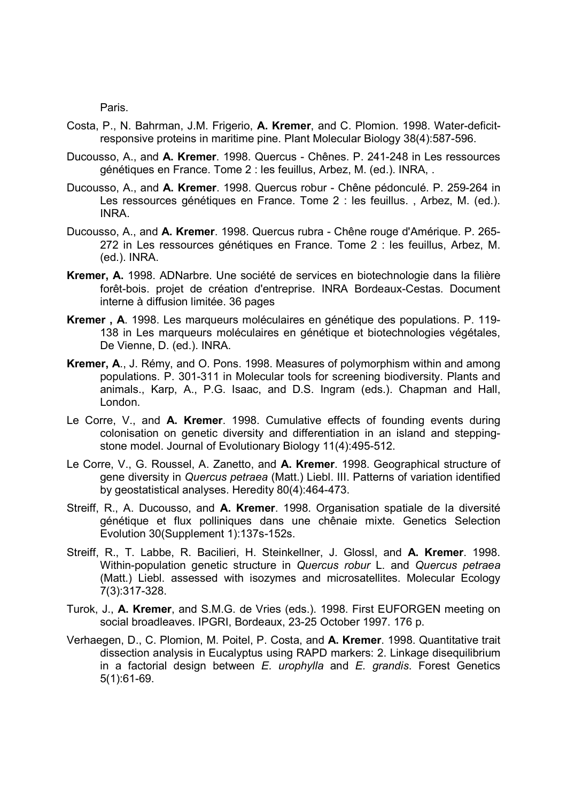Paris.

- Costa, P., N. Bahrman, J.M. Frigerio, A. Kremer, and C. Plomion. 1998. Water-deficitresponsive proteins in maritime pine. Plant Molecular Biology 38(4):587-596.
- Ducousso, A., and A. Kremer. 1998. Quercus Chênes. P. 241-248 in Les ressources génétiques en France. Tome 2 : les feuillus, Arbez, M. (ed.). INRA, .
- Ducousso, A., and A. Kremer. 1998. Quercus robur Chêne pédonculé. P. 259-264 in Les ressources génétiques en France. Tome 2 : les feuillus. , Arbez, M. (ed.). INRA.
- Ducousso, A., and A. Kremer. 1998. Quercus rubra Chêne rouge d'Amérique. P. 265- 272 in Les ressources génétiques en France. Tome 2 : les feuillus, Arbez, M. (ed.). INRA.
- Kremer, A. 1998. ADNarbre. Une société de services en biotechnologie dans la filière forêt-bois. projet de création d'entreprise. INRA Bordeaux-Cestas. Document interne à diffusion limitée. 36 pages
- Kremer , A. 1998. Les marqueurs moléculaires en génétique des populations. P. 119- 138 in Les marqueurs moléculaires en génétique et biotechnologies végétales, De Vienne, D. (ed.). INRA.
- Kremer, A., J. Rémy, and O. Pons. 1998. Measures of polymorphism within and among populations. P. 301-311 in Molecular tools for screening biodiversity. Plants and animals., Karp, A., P.G. Isaac, and D.S. Ingram (eds.). Chapman and Hall, London.
- Le Corre, V., and A. Kremer. 1998. Cumulative effects of founding events during colonisation on genetic diversity and differentiation in an island and steppingstone model. Journal of Evolutionary Biology 11(4):495-512.
- Le Corre, V., G. Roussel, A. Zanetto, and A. Kremer. 1998. Geographical structure of gene diversity in Quercus petraea (Matt.) Liebl. III. Patterns of variation identified by geostatistical analyses. Heredity 80(4):464-473.
- Streiff, R., A. Ducousso, and A. Kremer. 1998. Organisation spatiale de la diversité génétique et flux polliniques dans une chênaie mixte. Genetics Selection Evolution 30(Supplement 1):137s-152s.
- Streiff, R., T. Labbe, R. Bacilieri, H. Steinkellner, J. Glossl, and A. Kremer. 1998. Within-population genetic structure in Quercus robur L. and Quercus petraea (Matt.) Liebl. assessed with isozymes and microsatellites. Molecular Ecology 7(3):317-328.
- Turok, J., A. Kremer, and S.M.G. de Vries (eds.). 1998. First EUFORGEN meeting on social broadleaves. IPGRI, Bordeaux, 23-25 October 1997. 176 p.
- Verhaegen, D., C. Plomion, M. Poitel, P. Costa, and A. Kremer. 1998. Quantitative trait dissection analysis in Eucalyptus using RAPD markers: 2. Linkage disequilibrium in a factorial design between  $E$ . urophylla and  $E$ . grandis. Forest Genetics 5(1):61-69.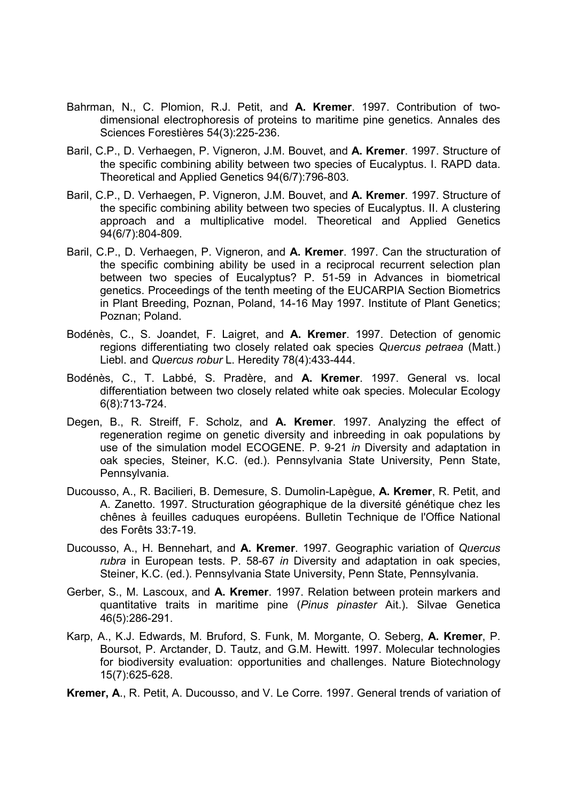- Bahrman, N., C. Plomion, R.J. Petit, and A. Kremer. 1997. Contribution of twodimensional electrophoresis of proteins to maritime pine genetics. Annales des Sciences Forestières 54(3):225-236.
- Baril, C.P., D. Verhaegen, P. Vigneron, J.M. Bouvet, and A. Kremer. 1997. Structure of the specific combining ability between two species of Eucalyptus. I. RAPD data. Theoretical and Applied Genetics 94(6/7):796-803.
- Baril, C.P., D. Verhaegen, P. Vigneron, J.M. Bouvet, and A. Kremer. 1997. Structure of the specific combining ability between two species of Eucalyptus. II. A clustering approach and a multiplicative model. Theoretical and Applied Genetics 94(6/7):804-809.
- Baril, C.P., D. Verhaegen, P. Vigneron, and A. Kremer. 1997. Can the structuration of the specific combining ability be used in a reciprocal recurrent selection plan between two species of Eucalyptus? P. 51-59 in Advances in biometrical genetics. Proceedings of the tenth meeting of the EUCARPIA Section Biometrics in Plant Breeding, Poznan, Poland, 14-16 May 1997. Institute of Plant Genetics; Poznan; Poland.
- Bodénès, C., S. Joandet, F. Laigret, and A. Kremer. 1997. Detection of genomic regions differentiating two closely related oak species Quercus petraea (Matt.) Liebl. and Quercus robur L. Heredity 78(4):433-444.
- Bodénès, C., T. Labbé, S. Pradère, and A. Kremer. 1997. General vs. local differentiation between two closely related white oak species. Molecular Ecology 6(8):713-724.
- Degen, B., R. Streiff, F. Scholz, and A. Kremer. 1997. Analyzing the effect of regeneration regime on genetic diversity and inbreeding in oak populations by use of the simulation model ECOGENE. P. 9-21 in Diversity and adaptation in oak species, Steiner, K.C. (ed.). Pennsylvania State University, Penn State, Pennsylvania.
- Ducousso, A., R. Bacilieri, B. Demesure, S. Dumolin-Lapègue, A. Kremer, R. Petit, and A. Zanetto. 1997. Structuration géographique de la diversité génétique chez les chênes à feuilles caduques européens. Bulletin Technique de l'Office National des Forêts 33:7-19.
- Ducousso, A., H. Bennehart, and A. Kremer. 1997. Geographic variation of Quercus rubra in European tests. P. 58-67 in Diversity and adaptation in oak species, Steiner, K.C. (ed.). Pennsylvania State University, Penn State, Pennsylvania.
- Gerber, S., M. Lascoux, and A. Kremer. 1997. Relation between protein markers and quantitative traits in maritime pine (Pinus pinaster Ait.). Silvae Genetica 46(5):286-291.
- Karp, A., K.J. Edwards, M. Bruford, S. Funk, M. Morgante, O. Seberg, A. Kremer, P. Boursot, P. Arctander, D. Tautz, and G.M. Hewitt. 1997. Molecular technologies for biodiversity evaluation: opportunities and challenges. Nature Biotechnology 15(7):625-628.

Kremer, A., R. Petit, A. Ducousso, and V. Le Corre. 1997. General trends of variation of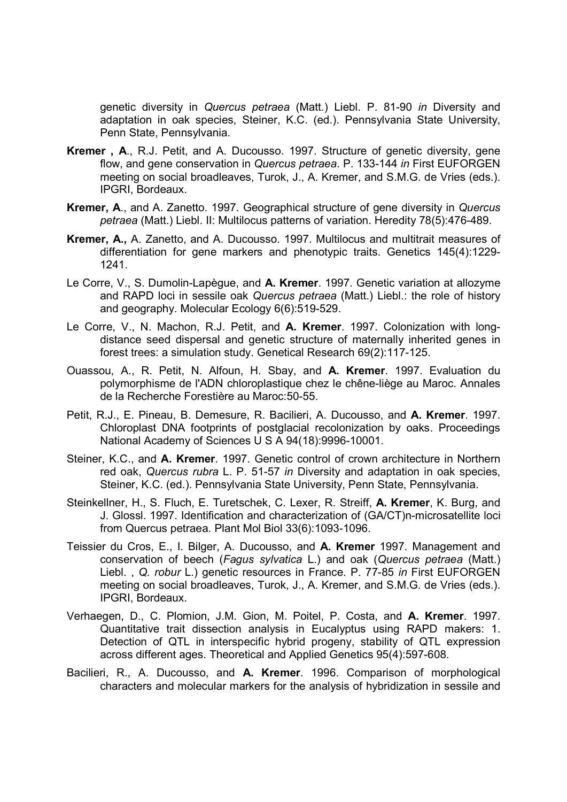genetic diversity in Quercus petraea (Matt.) Liebl. P. 81-90 in Diversity and adaptation in oak species, Steiner, K.C. (ed.). Pennsylvania State University, Penn State, Pennsylvania.

- Kremer , A., R.J. Petit, and A. Ducousso. 1997. Structure of genetic diversity, gene flow, and gene conservation in Quercus petraea. P. 133-144 in First EUFORGEN meeting on social broadleaves, Turok, J., A. Kremer, and S.M.G. de Vries (eds.). IPGRI, Bordeaux.
- Kremer, A., and A. Zanetto. 1997. Geographical structure of gene diversity in Quercus petraea (Matt.) Liebl. II: Multilocus patterns of variation. Heredity 78(5):476-489.
- Kremer, A., A. Zanetto, and A. Ducousso. 1997. Multilocus and multitrait measures of differentiation for gene markers and phenotypic traits. Genetics 145(4):1229- 1241.
- Le Corre, V., S. Dumolin-Lapègue, and A. Kremer. 1997. Genetic variation at allozyme and RAPD loci in sessile oak Quercus petraea (Matt.) Liebl.: the role of history and geography. Molecular Ecology 6(6):519-529.
- Le Corre, V., N. Machon, R.J. Petit, and A. Kremer. 1997. Colonization with longdistance seed dispersal and genetic structure of maternally inherited genes in forest trees: a simulation study. Genetical Research 69(2):117-125.
- Ouassou, A., R. Petit, N. Alfoun, H. Sbay, and A. Kremer. 1997. Evaluation du polymorphisme de l'ADN chloroplastique chez le chêne-liège au Maroc. Annales de la Recherche Forestière au Maroc:50-55.
- Petit, R.J., E. Pineau, B. Demesure, R. Bacilieri, A. Ducousso, and A. Kremer. 1997. Chloroplast DNA footprints of postglacial recolonization by oaks. Proceedings National Academy of Sciences U S A 94(18):9996-10001.
- Steiner, K.C., and A. Kremer. 1997. Genetic control of crown architecture in Northern red oak, Quercus rubra L. P. 51-57 in Diversity and adaptation in oak species, Steiner, K.C. (ed.). Pennsylvania State University, Penn State, Pennsylvania.
- Steinkellner, H., S. Fluch, E. Turetschek, C. Lexer, R. Streiff, A. Kremer, K. Burg, and J. Glossl. 1997. Identification and characterization of (GA/CT)n-microsatellite loci from Quercus petraea. Plant Mol Biol 33(6):1093-1096.
- Teissier du Cros, E., I. Bilger, A. Ducousso, and A. Kremer 1997. Management and conservation of beech (Fagus sylvatica L.) and oak (Quercus petraea (Matt.) Liebl. , Q. robur L.) genetic resources in France. P. 77-85 in First EUFORGEN meeting on social broadleaves, Turok, J., A. Kremer, and S.M.G. de Vries (eds.). IPGRI, Bordeaux.
- Verhaegen, D., C. Plomion, J.M. Gion, M. Poitel, P. Costa, and A. Kremer. 1997. Quantitative trait dissection analysis in Eucalyptus using RAPD makers: 1. Detection of QTL in interspecific hybrid progeny, stability of QTL expression across different ages. Theoretical and Applied Genetics 95(4):597-608.
- Bacilieri, R., A. Ducousso, and A. Kremer. 1996. Comparison of morphological characters and molecular markers for the analysis of hybridization in sessile and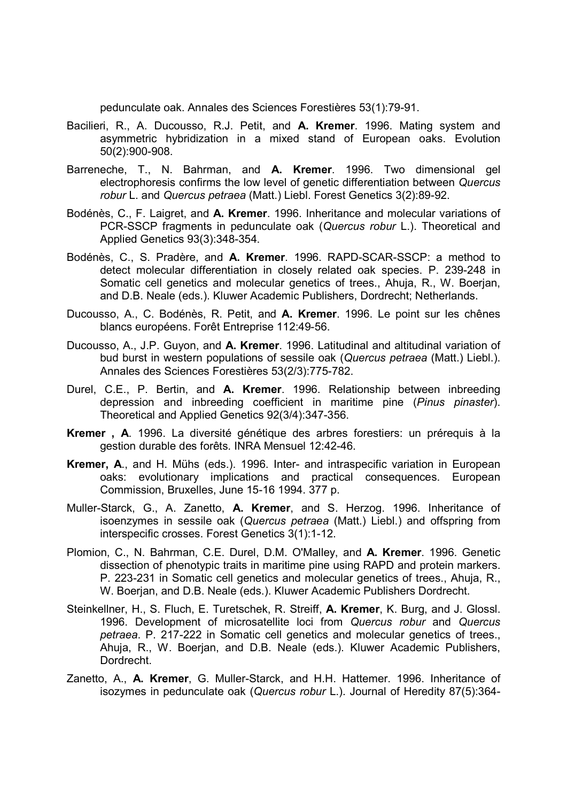pedunculate oak. Annales des Sciences Forestières 53(1):79-91.

- Bacilieri, R., A. Ducousso, R.J. Petit, and A. Kremer. 1996. Mating system and asymmetric hybridization in a mixed stand of European oaks. Evolution 50(2):900-908.
- Barreneche, T., N. Bahrman, and A. Kremer. 1996. Two dimensional gel electrophoresis confirms the low level of genetic differentiation between Quercus robur L. and Quercus petraea (Matt.) Liebl. Forest Genetics 3(2):89-92.
- Bodénès, C., F. Laigret, and A. Kremer. 1996. Inheritance and molecular variations of PCR-SSCP fragments in pedunculate oak (Quercus robur L.). Theoretical and Applied Genetics 93(3):348-354.
- Bodénès, C., S. Pradère, and A. Kremer. 1996. RAPD-SCAR-SSCP: a method to detect molecular differentiation in closely related oak species. P. 239-248 in Somatic cell genetics and molecular genetics of trees., Ahuja, R., W. Boerjan, and D.B. Neale (eds.). Kluwer Academic Publishers, Dordrecht; Netherlands.
- Ducousso, A., C. Bodénès, R. Petit, and A. Kremer. 1996. Le point sur les chênes blancs européens. Forêt Entreprise 112:49-56.
- Ducousso, A., J.P. Guyon, and A. Kremer. 1996. Latitudinal and altitudinal variation of bud burst in western populations of sessile oak (Quercus petraea (Matt.) Liebl.). Annales des Sciences Forestières 53(2/3):775-782.
- Durel, C.E., P. Bertin, and A. Kremer. 1996. Relationship between inbreeding depression and inbreeding coefficient in maritime pine (Pinus pinaster). Theoretical and Applied Genetics 92(3/4):347-356.
- Kremer , A. 1996. La diversité génétique des arbres forestiers: un prérequis à la gestion durable des forêts. INRA Mensuel 12:42-46.
- Kremer, A., and H. Mühs (eds.). 1996. Inter- and intraspecific variation in European oaks: evolutionary implications and practical consequences. European Commission, Bruxelles, June 15-16 1994. 377 p.
- Muller-Starck, G., A. Zanetto, A. Kremer, and S. Herzog. 1996. Inheritance of isoenzymes in sessile oak (Quercus petraea (Matt.) Liebl.) and offspring from interspecific crosses. Forest Genetics 3(1):1-12.
- Plomion, C., N. Bahrman, C.E. Durel, D.M. O'Malley, and A. Kremer. 1996. Genetic dissection of phenotypic traits in maritime pine using RAPD and protein markers. P. 223-231 in Somatic cell genetics and molecular genetics of trees., Ahuja, R., W. Boerjan, and D.B. Neale (eds.). Kluwer Academic Publishers Dordrecht.
- Steinkellner, H., S. Fluch, E. Turetschek, R. Streiff, A. Kremer, K. Burg, and J. Glossl. 1996. Development of microsatellite loci from Quercus robur and Quercus petraea. P. 217-222 in Somatic cell genetics and molecular genetics of trees., Ahuja, R., W. Boerjan, and D.B. Neale (eds.). Kluwer Academic Publishers, Dordrecht.
- Zanetto, A., A. Kremer, G. Muller-Starck, and H.H. Hattemer. 1996. Inheritance of isozymes in pedunculate oak (Quercus robur L.). Journal of Heredity 87(5):364-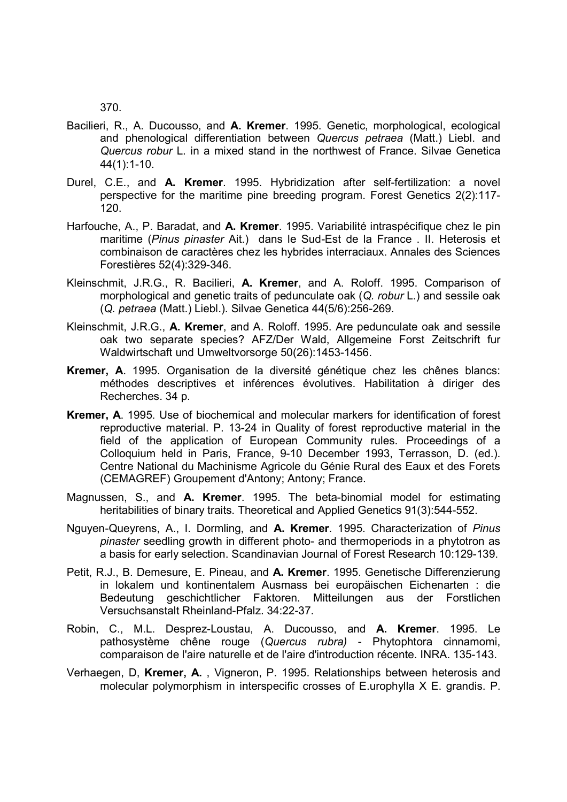370.

- Bacilieri, R., A. Ducousso, and A. Kremer. 1995. Genetic, morphological, ecological and phenological differentiation between Quercus petraea (Matt.) Liebl. and Quercus robur L. in a mixed stand in the northwest of France. Silvae Genetica 44(1):1-10.
- Durel, C.E., and A. Kremer. 1995. Hybridization after self-fertilization: a novel perspective for the maritime pine breeding program. Forest Genetics 2(2):117- 120.
- Harfouche, A., P. Baradat, and A. Kremer. 1995. Variabilité intraspécifique chez le pin maritime (Pinus pinaster Ait.) dans le Sud-Est de la France . II. Heterosis et combinaison de caractères chez les hybrides interraciaux. Annales des Sciences Forestières 52(4):329-346.
- Kleinschmit, J.R.G., R. Bacilieri, A. Kremer, and A. Roloff. 1995. Comparison of morphological and genetic traits of pedunculate oak (Q. robur L.) and sessile oak (Q. petraea (Matt.) Liebl.). Silvae Genetica 44(5/6):256-269.
- Kleinschmit, J.R.G., A. Kremer, and A. Roloff. 1995. Are pedunculate oak and sessile oak two separate species? AFZ/Der Wald, Allgemeine Forst Zeitschrift fur Waldwirtschaft und Umweltvorsorge 50(26):1453-1456.
- Kremer, A. 1995. Organisation de la diversité génétique chez les chênes blancs: méthodes descriptives et inférences évolutives. Habilitation à diriger des Recherches. 34 p.
- Kremer, A. 1995. Use of biochemical and molecular markers for identification of forest reproductive material. P. 13-24 in Quality of forest reproductive material in the field of the application of European Community rules. Proceedings of a Colloquium held in Paris, France, 9-10 December 1993, Terrasson, D. (ed.). Centre National du Machinisme Agricole du Génie Rural des Eaux et des Forets (CEMAGREF) Groupement d'Antony; Antony; France.
- Magnussen, S., and A. Kremer. 1995. The beta-binomial model for estimating heritabilities of binary traits. Theoretical and Applied Genetics 91(3):544-552.
- Nguyen-Queyrens, A., I. Dormling, and A. Kremer. 1995. Characterization of Pinus pinaster seedling growth in different photo- and thermoperiods in a phytotron as a basis for early selection. Scandinavian Journal of Forest Research 10:129-139.
- Petit, R.J., B. Demesure, E. Pineau, and A. Kremer. 1995. Genetische Differenzierung in lokalem und kontinentalem Ausmass bei europäischen Eichenarten : die Bedeutung geschichtlicher Faktoren. Mitteilungen aus der Forstlichen Versuchsanstalt Rheinland-Pfalz. 34:22-37.
- Robin, C., M.L. Desprez-Loustau, A. Ducousso, and A. Kremer. 1995. Le pathosystème chêne rouge (Quercus rubra) - Phytophtora cinnamomi, comparaison de l'aire naturelle et de l'aire d'introduction récente. INRA. 135-143.
- Verhaegen, D, Kremer, A. , Vigneron, P. 1995. Relationships between heterosis and molecular polymorphism in interspecific crosses of E.urophylla X E. grandis. P.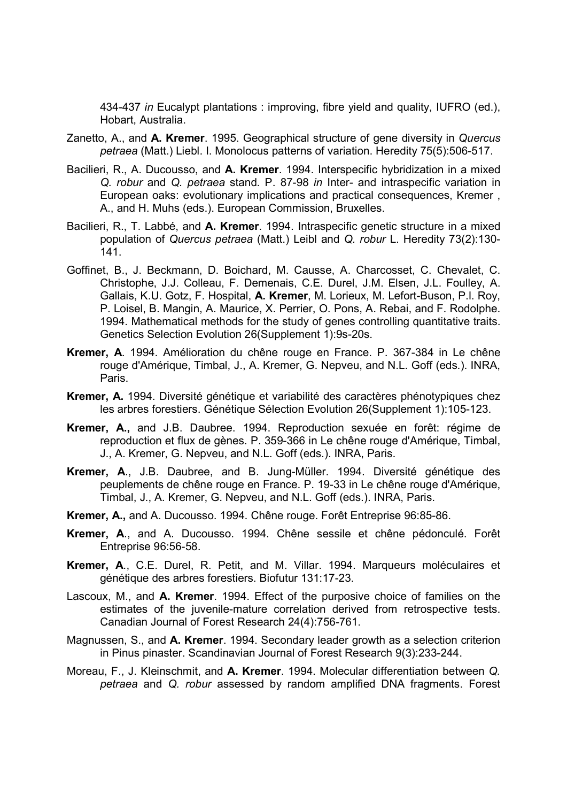434-437 in Eucalypt plantations : improving, fibre yield and quality, IUFRO (ed.), Hobart, Australia.

- Zanetto, A., and A. Kremer. 1995. Geographical structure of gene diversity in Quercus petraea (Matt.) Liebl. I. Monolocus patterns of variation. Heredity 75(5):506-517.
- Bacilieri, R., A. Ducousso, and A. Kremer. 1994. Interspecific hybridization in a mixed Q. robur and Q. petraea stand. P. 87-98 in Inter- and intraspecific variation in European oaks: evolutionary implications and practical consequences, Kremer , A., and H. Muhs (eds.). European Commission, Bruxelles.
- Bacilieri, R., T. Labbé, and A. Kremer. 1994. Intraspecific genetic structure in a mixed population of Quercus petraea (Matt.) Leibl and Q. robur L. Heredity 73(2):130- 141.
- Goffinet, B., J. Beckmann, D. Boichard, M. Causse, A. Charcosset, C. Chevalet, C. Christophe, J.J. Colleau, F. Demenais, C.E. Durel, J.M. Elsen, J.L. Foulley, A. Gallais, K.U. Gotz, F. Hospital, A. Kremer, M. Lorieux, M. Lefort-Buson, P.l. Roy, P. Loisel, B. Mangin, A. Maurice, X. Perrier, O. Pons, A. Rebai, and F. Rodolphe. 1994. Mathematical methods for the study of genes controlling quantitative traits. Genetics Selection Evolution 26(Supplement 1):9s-20s.
- Kremer, A. 1994. Amélioration du chêne rouge en France. P. 367-384 in Le chêne rouge d'Amérique, Timbal, J., A. Kremer, G. Nepveu, and N.L. Goff (eds.). INRA, Paris.
- Kremer, A. 1994. Diversité génétique et variabilité des caractères phénotypiques chez les arbres forestiers. Génétique Sélection Evolution 26(Supplement 1):105-123.
- Kremer, A., and J.B. Daubree. 1994. Reproduction sexuée en forêt: régime de reproduction et flux de gènes. P. 359-366 in Le chêne rouge d'Amérique, Timbal, J., A. Kremer, G. Nepveu, and N.L. Goff (eds.). INRA, Paris.
- Kremer, A., J.B. Daubree, and B. Jung-Müller. 1994. Diversité génétique des peuplements de chêne rouge en France. P. 19-33 in Le chêne rouge d'Amérique, Timbal, J., A. Kremer, G. Nepveu, and N.L. Goff (eds.). INRA, Paris.
- Kremer, A., and A. Ducousso. 1994. Chêne rouge. Forêt Entreprise 96:85-86.
- Kremer, A., and A. Ducousso. 1994. Chêne sessile et chêne pédonculé. Forêt Entreprise 96:56-58.
- Kremer, A., C.E. Durel, R. Petit, and M. Villar. 1994. Marqueurs moléculaires et génétique des arbres forestiers. Biofutur 131:17-23.
- Lascoux, M., and A. Kremer. 1994. Effect of the purposive choice of families on the estimates of the juvenile-mature correlation derived from retrospective tests. Canadian Journal of Forest Research 24(4):756-761.
- Magnussen, S., and A. Kremer. 1994. Secondary leader growth as a selection criterion in Pinus pinaster. Scandinavian Journal of Forest Research 9(3):233-244.
- Moreau, F., J. Kleinschmit, and A. Kremer. 1994. Molecular differentiation between Q. petraea and Q. robur assessed by random amplified DNA fragments. Forest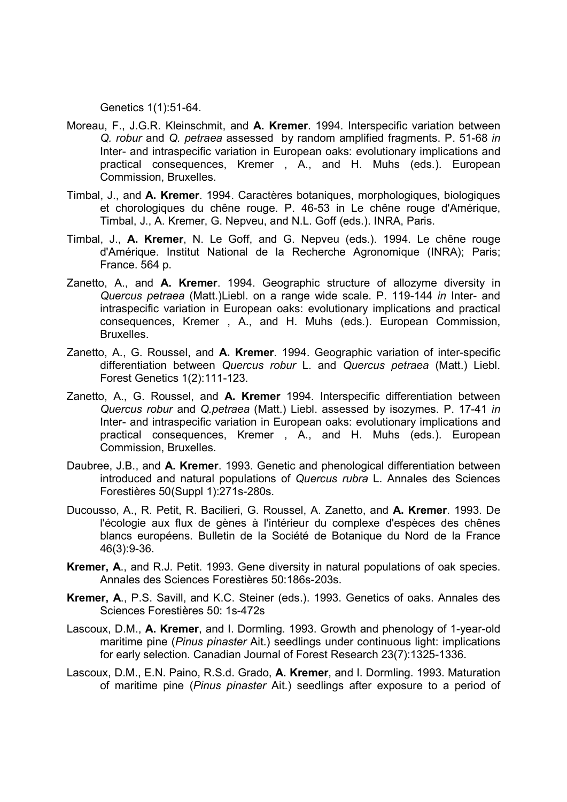Genetics 1(1):51-64.

- Moreau, F., J.G.R. Kleinschmit, and A. Kremer. 1994. Interspecific variation between Q. robur and Q. petraea assessed by random amplified fragments. P. 51-68 in Inter- and intraspecific variation in European oaks: evolutionary implications and practical consequences, Kremer , A., and H. Muhs (eds.). European Commission, Bruxelles.
- Timbal, J., and A. Kremer. 1994. Caractères botaniques, morphologiques, biologiques et chorologiques du chêne rouge. P. 46-53 in Le chêne rouge d'Amérique, Timbal, J., A. Kremer, G. Nepveu, and N.L. Goff (eds.). INRA, Paris.
- Timbal, J., A. Kremer, N. Le Goff, and G. Nepveu (eds.). 1994. Le chêne rouge d'Amérique. Institut National de la Recherche Agronomique (INRA); Paris; France. 564 p.
- Zanetto, A., and A. Kremer. 1994. Geographic structure of allozyme diversity in Quercus petraea (Matt.)Liebl. on a range wide scale. P. 119-144 in Inter- and intraspecific variation in European oaks: evolutionary implications and practical consequences, Kremer , A., and H. Muhs (eds.). European Commission, Bruxelles.
- Zanetto, A., G. Roussel, and A. Kremer. 1994. Geographic variation of inter-specific differentiation between Quercus robur L. and Quercus petraea (Matt.) Liebl. Forest Genetics 1(2):111-123.
- Zanetto, A., G. Roussel, and A. Kremer 1994. Interspecific differentiation between Quercus robur and Q.petraea (Matt.) Liebl. assessed by isozymes. P. 17-41 in Inter- and intraspecific variation in European oaks: evolutionary implications and practical consequences, Kremer , A., and H. Muhs (eds.). European Commission, Bruxelles.
- Daubree, J.B., and A. Kremer. 1993. Genetic and phenological differentiation between introduced and natural populations of Quercus rubra L. Annales des Sciences Forestières 50(Suppl 1):271s-280s.
- Ducousso, A., R. Petit, R. Bacilieri, G. Roussel, A. Zanetto, and A. Kremer. 1993. De l'écologie aux flux de gènes à l'intérieur du complexe d'espèces des chênes blancs européens. Bulletin de la Société de Botanique du Nord de la France 46(3):9-36.
- Kremer, A., and R.J. Petit. 1993. Gene diversity in natural populations of oak species. Annales des Sciences Forestières 50:186s-203s.
- Kremer, A., P.S. Savill, and K.C. Steiner (eds.). 1993. Genetics of oaks. Annales des Sciences Forestières 50: 1s-472s
- Lascoux, D.M., A. Kremer, and I. Dormling. 1993. Growth and phenology of 1-year-old maritime pine (Pinus pinaster Ait.) seedlings under continuous light: implications for early selection. Canadian Journal of Forest Research 23(7):1325-1336.
- Lascoux, D.M., E.N. Paino, R.S.d. Grado, A. Kremer, and I. Dormling. 1993. Maturation of maritime pine (Pinus pinaster Ait.) seedlings after exposure to a period of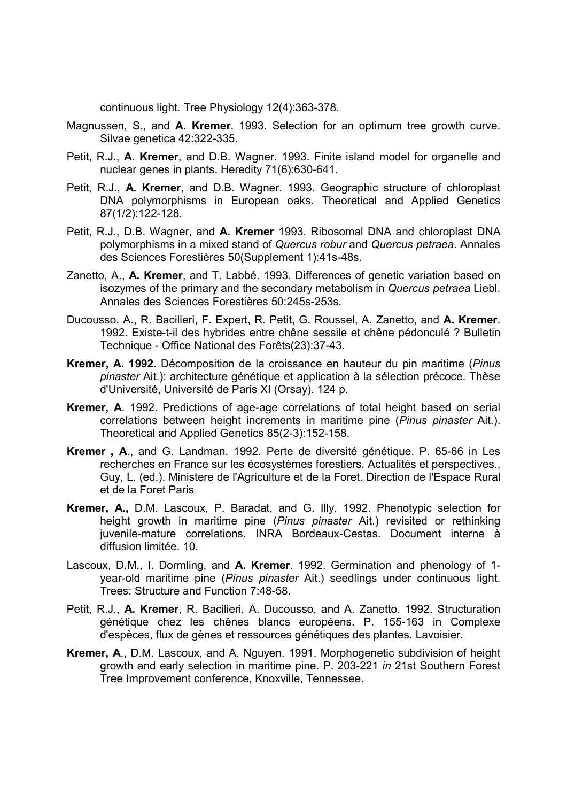continuous light. Tree Physiology 12(4):363-378.

- Magnussen, S., and A. Kremer. 1993. Selection for an optimum tree growth curve. Silvae genetica 42:322-335.
- Petit, R.J., **A. Kremer**, and D.B. Wagner. 1993. Finite island model for organelle and nuclear genes in plants. Heredity 71(6):630-641.
- Petit, R.J., A. Kremer, and D.B. Wagner. 1993. Geographic structure of chloroplast DNA polymorphisms in European oaks. Theoretical and Applied Genetics 87(1/2):122-128.
- Petit, R.J., D.B. Wagner, and A. Kremer 1993. Ribosomal DNA and chloroplast DNA polymorphisms in a mixed stand of Quercus robur and Quercus petraea. Annales des Sciences Forestières 50(Supplement 1):41s-48s.
- Zanetto, A., A. Kremer, and T. Labbé. 1993. Differences of genetic variation based on isozymes of the primary and the secondary metabolism in Quercus petraea Liebl. Annales des Sciences Forestières 50:245s-253s.
- Ducousso, A., R. Bacilieri, F. Expert, R. Petit, G. Roussel, A. Zanetto, and A. Kremer. 1992. Existe-t-il des hybrides entre chêne sessile et chêne pédonculé ? Bulletin Technique - Office National des Forêts(23):37-43.
- Kremer, A. 1992. Décomposition de la croissance en hauteur du pin maritime (Pinus pinaster Ait.): architecture génétique et application à la sélection précoce. Thèse d'Université, Université de Paris XI (Orsay). 124 p.
- Kremer, A. 1992. Predictions of age-age correlations of total height based on serial correlations between height increments in maritime pine (Pinus pinaster Ait.). Theoretical and Applied Genetics 85(2-3):152-158.
- Kremer , A., and G. Landman. 1992. Perte de diversité génétique. P. 65-66 in Les recherches en France sur les écosystèmes forestiers. Actualités et perspectives., Guy, L. (ed.). Ministere de l'Agriculture et de la Foret. Direction de l'Espace Rural et de la Foret Paris
- Kremer, A., D.M. Lascoux, P. Baradat, and G. Illy. 1992. Phenotypic selection for height growth in maritime pine (Pinus pinaster Ait.) revisited or rethinking juvenile-mature correlations. INRA Bordeaux-Cestas. Document interne à diffusion limitée. 10.
- Lascoux, D.M., I. Dormling, and A. Kremer. 1992. Germination and phenology of 1 year-old maritime pine (Pinus pinaster Ait.) seedlings under continuous light. Trees: Structure and Function 7:48-58.
- Petit, R.J., A. Kremer, R. Bacilieri, A. Ducousso, and A. Zanetto. 1992. Structuration génétique chez les chênes blancs européens. P. 155-163 in Complexe d'espèces, flux de gènes et ressources génétiques des plantes. Lavoisier.
- Kremer, A., D.M. Lascoux, and A. Nguyen. 1991. Morphogenetic subdivision of height growth and early selection in maritime pine. P. 203-221 in 21st Southern Forest Tree Improvement conference, Knoxville, Tennessee.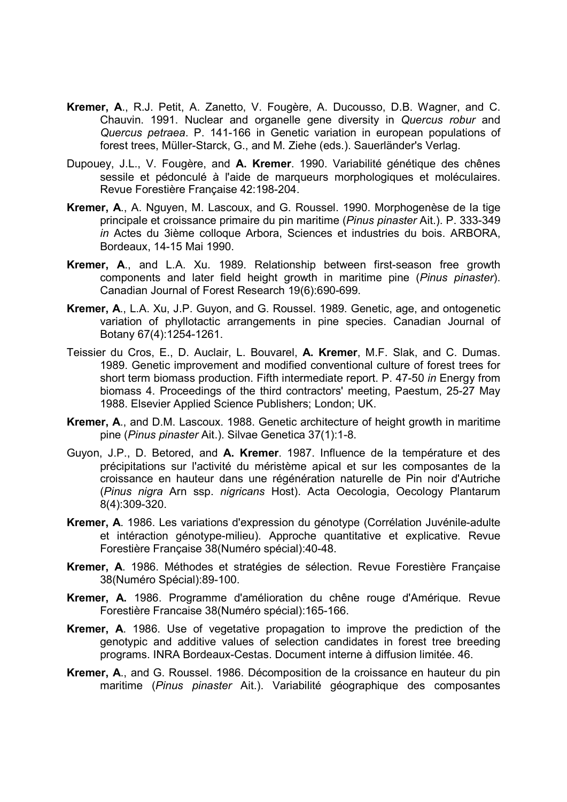- Kremer, A., R.J. Petit, A. Zanetto, V. Fougère, A. Ducousso, D.B. Wagner, and C. Chauvin. 1991. Nuclear and organelle gene diversity in Quercus robur and Quercus petraea. P. 141-166 in Genetic variation in european populations of forest trees, Müller-Starck, G., and M. Ziehe (eds.). Sauerländer's Verlag.
- Dupouey, J.L., V. Fougère, and A. Kremer. 1990. Variabilité génétique des chênes sessile et pédonculé à l'aide de marqueurs morphologiques et moléculaires. Revue Forestière Française 42:198-204.
- Kremer, A., A. Nguyen, M. Lascoux, and G. Roussel. 1990. Morphogenèse de la tige principale et croissance primaire du pin maritime (Pinus pinaster Ait.). P. 333-349 in Actes du 3ième colloque Arbora, Sciences et industries du bois. ARBORA, Bordeaux, 14-15 Mai 1990.
- Kremer, A., and L.A. Xu. 1989. Relationship between first-season free growth components and later field height growth in maritime pine (Pinus pinaster). Canadian Journal of Forest Research 19(6):690-699.
- Kremer, A., L.A. Xu, J.P. Guyon, and G. Roussel. 1989. Genetic, age, and ontogenetic variation of phyllotactic arrangements in pine species. Canadian Journal of Botany 67(4):1254-1261.
- Teissier du Cros, E., D. Auclair, L. Bouvarel, A. Kremer, M.F. Slak, and C. Dumas. 1989. Genetic improvement and modified conventional culture of forest trees for short term biomass production. Fifth intermediate report. P. 47-50 in Energy from biomass 4. Proceedings of the third contractors' meeting, Paestum, 25-27 May 1988. Elsevier Applied Science Publishers; London; UK.
- Kremer, A., and D.M. Lascoux. 1988. Genetic architecture of height growth in maritime pine (Pinus pinaster Ait.). Silvae Genetica 37(1):1-8.
- Guyon, J.P., D. Betored, and A. Kremer. 1987. Influence de la température et des précipitations sur l'activité du méristème apical et sur les composantes de la croissance en hauteur dans une régénération naturelle de Pin noir d'Autriche (Pinus nigra Arn ssp. nigricans Host). Acta Oecologia, Oecology Plantarum 8(4):309-320.
- Kremer, A. 1986. Les variations d'expression du génotype (Corrélation Juvénile-adulte et intéraction génotype-milieu). Approche quantitative et explicative. Revue Forestière Française 38(Numéro spécial):40-48.
- Kremer, A. 1986. Méthodes et stratégies de sélection. Revue Forestière Française 38(Numéro Spécial):89-100.
- Kremer, A. 1986. Programme d'amélioration du chêne rouge d'Amérique. Revue Forestière Francaise 38(Numéro spécial):165-166.
- Kremer, A. 1986. Use of vegetative propagation to improve the prediction of the genotypic and additive values of selection candidates in forest tree breeding programs. INRA Bordeaux-Cestas. Document interne à diffusion limitée. 46.
- Kremer, A., and G. Roussel. 1986. Décomposition de la croissance en hauteur du pin maritime (Pinus pinaster Ait.). Variabilité géographique des composantes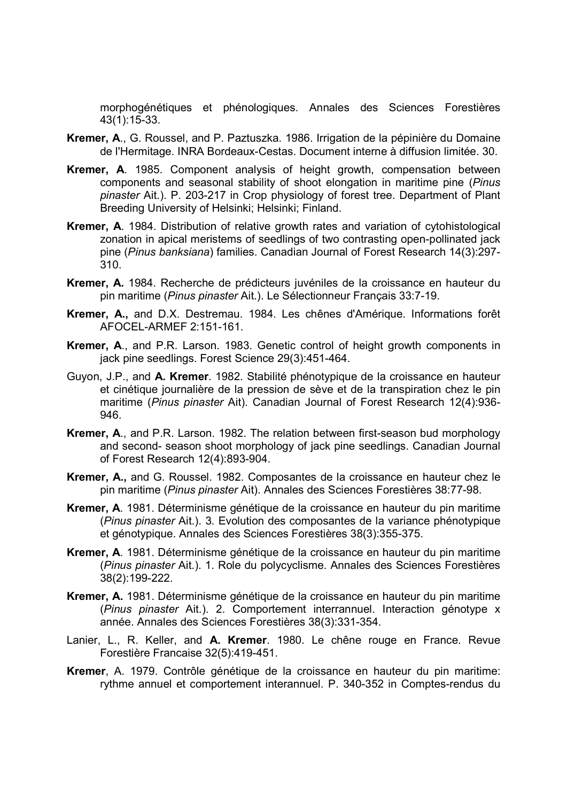morphogénétiques et phénologiques. Annales des Sciences Forestières 43(1):15-33.

- Kremer, A., G. Roussel, and P. Paztuszka. 1986. Irrigation de la pépinière du Domaine de l'Hermitage. INRA Bordeaux-Cestas. Document interne à diffusion limitée. 30.
- Kremer, A. 1985. Component analysis of height growth, compensation between components and seasonal stability of shoot elongation in maritime pine (Pinus pinaster Ait.). P. 203-217 in Crop physiology of forest tree. Department of Plant Breeding University of Helsinki; Helsinki; Finland.
- Kremer, A. 1984. Distribution of relative growth rates and variation of cytohistological zonation in apical meristems of seedlings of two contrasting open-pollinated jack pine (Pinus banksiana) families. Canadian Journal of Forest Research 14(3):297- 310.
- Kremer, A. 1984. Recherche de prédicteurs juvéniles de la croissance en hauteur du pin maritime (Pinus pinaster Ait.). Le Sélectionneur Français 33:7-19.
- Kremer, A., and D.X. Destremau. 1984. Les chênes d'Amérique. Informations forêt AFOCEL-ARMEF 2:151-161.
- Kremer, A., and P.R. Larson. 1983. Genetic control of height growth components in jack pine seedlings. Forest Science 29(3):451-464.
- Guyon, J.P., and A. Kremer. 1982. Stabilité phénotypique de la croissance en hauteur et cinétique journalière de la pression de sève et de la transpiration chez le pin maritime (Pinus pinaster Ait). Canadian Journal of Forest Research 12(4):936- 946.
- Kremer, A., and P.R. Larson. 1982. The relation between first-season bud morphology and second- season shoot morphology of jack pine seedlings. Canadian Journal of Forest Research 12(4):893-904.
- Kremer, A., and G. Roussel. 1982. Composantes de la croissance en hauteur chez le pin maritime (Pinus pinaster Ait). Annales des Sciences Forestières 38:77-98.
- Kremer, A. 1981. Déterminisme génétique de la croissance en hauteur du pin maritime (Pinus pinaster Ait.). 3. Evolution des composantes de la variance phénotypique et génotypique. Annales des Sciences Forestières 38(3):355-375.
- Kremer, A. 1981. Déterminisme génétique de la croissance en hauteur du pin maritime (Pinus pinaster Ait.). 1. Role du polycyclisme. Annales des Sciences Forestières 38(2):199-222.
- Kremer, A. 1981. Déterminisme génétique de la croissance en hauteur du pin maritime (Pinus pinaster Ait.). 2. Comportement interrannuel. Interaction génotype x année. Annales des Sciences Forestières 38(3):331-354.
- Lanier, L., R. Keller, and A. Kremer. 1980. Le chêne rouge en France. Revue Forestière Francaise 32(5):419-451.
- Kremer, A. 1979. Contrôle génétique de la croissance en hauteur du pin maritime: rythme annuel et comportement interannuel. P. 340-352 in Comptes-rendus du